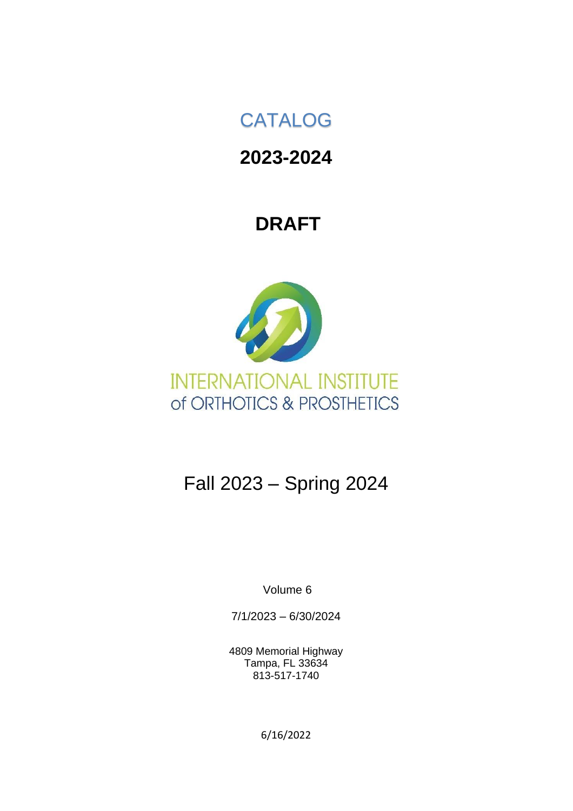# CATALOG

# **2023-2024**

# **DRAFT**



# Fall 2023 – Spring 2024

Volume 6

7/1/2023 – 6/30/2024

4809 Memorial Highway Tampa, FL 33634 813-517-1740

6/16/2022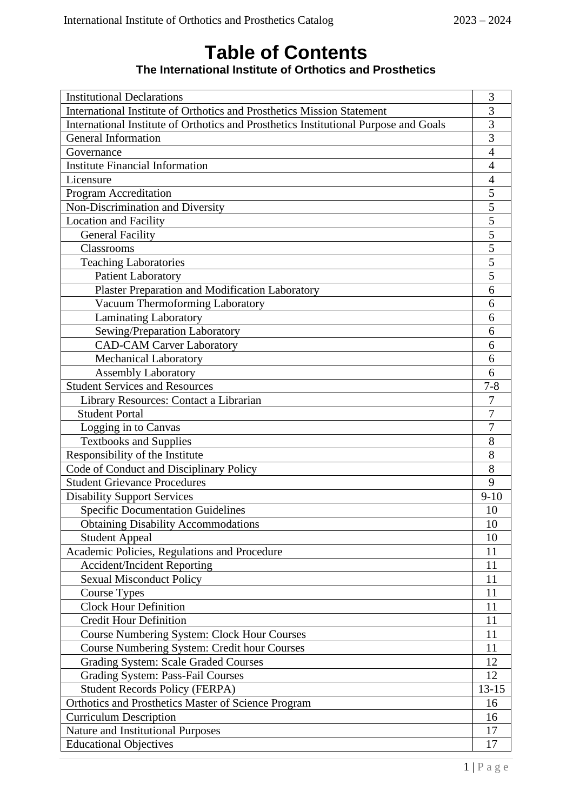### **Table of Contents The International Institute of Orthotics and Prosthetics**

| <b>Institutional Declarations</b>                                                    | 3              |  |  |  |
|--------------------------------------------------------------------------------------|----------------|--|--|--|
| International Institute of Orthotics and Prosthetics Mission Statement               |                |  |  |  |
| International Institute of Orthotics and Prosthetics Institutional Purpose and Goals | 3              |  |  |  |
| <b>General Information</b>                                                           | $\overline{3}$ |  |  |  |
| Governance                                                                           | $\overline{4}$ |  |  |  |
| <b>Institute Financial Information</b>                                               | $\overline{4}$ |  |  |  |
| Licensure                                                                            | 4              |  |  |  |
| Program Accreditation                                                                | 5              |  |  |  |
| Non-Discrimination and Diversity                                                     | 5              |  |  |  |
| <b>Location and Facility</b>                                                         | 5              |  |  |  |
| <b>General Facility</b>                                                              | 5              |  |  |  |
| Classrooms                                                                           | 5              |  |  |  |
| <b>Teaching Laboratories</b>                                                         | $\overline{5}$ |  |  |  |
| <b>Patient Laboratory</b>                                                            | 5              |  |  |  |
| <b>Plaster Preparation and Modification Laboratory</b>                               | 6              |  |  |  |
| Vacuum Thermoforming Laboratory                                                      | 6              |  |  |  |
| Laminating Laboratory                                                                | 6              |  |  |  |
| Sewing/Preparation Laboratory                                                        | 6              |  |  |  |
| <b>CAD-CAM Carver Laboratory</b>                                                     | 6              |  |  |  |
| <b>Mechanical Laboratory</b>                                                         | 6              |  |  |  |
| <b>Assembly Laboratory</b>                                                           | 6              |  |  |  |
| <b>Student Services and Resources</b>                                                | $7 - 8$        |  |  |  |
| Library Resources: Contact a Librarian                                               | 7              |  |  |  |
| <b>Student Portal</b>                                                                | 7              |  |  |  |
| Logging in to Canvas                                                                 | 7              |  |  |  |
| <b>Textbooks and Supplies</b>                                                        | 8              |  |  |  |
| Responsibility of the Institute                                                      | 8              |  |  |  |
| Code of Conduct and Disciplinary Policy                                              | 8              |  |  |  |
| <b>Student Grievance Procedures</b>                                                  | 9              |  |  |  |
| <b>Disability Support Services</b>                                                   | $9 - 10$       |  |  |  |
| <b>Specific Documentation Guidelines</b>                                             | 10             |  |  |  |
| <b>Obtaining Disability Accommodations</b>                                           | 10             |  |  |  |
| <b>Student Appeal</b>                                                                | 10             |  |  |  |
| Academic Policies, Regulations and Procedure                                         | 11             |  |  |  |
| <b>Accident/Incident Reporting</b>                                                   | 11             |  |  |  |
| <b>Sexual Misconduct Policy</b>                                                      | 11             |  |  |  |
| Course Types                                                                         | 11             |  |  |  |
| <b>Clock Hour Definition</b>                                                         | 11             |  |  |  |
| <b>Credit Hour Definition</b>                                                        | 11             |  |  |  |
| <b>Course Numbering System: Clock Hour Courses</b>                                   | 11             |  |  |  |
| Course Numbering System: Credit hour Courses                                         | 11             |  |  |  |
| <b>Grading System: Scale Graded Courses</b>                                          | 12             |  |  |  |
| Grading System: Pass-Fail Courses                                                    | 12             |  |  |  |
| <b>Student Records Policy (FERPA)</b>                                                | $13 - 15$      |  |  |  |
| Orthotics and Prosthetics Master of Science Program                                  | 16             |  |  |  |
| <b>Curriculum Description</b>                                                        | 16             |  |  |  |
| <b>Nature and Institutional Purposes</b>                                             | 17             |  |  |  |
| <b>Educational Objectives</b>                                                        | 17             |  |  |  |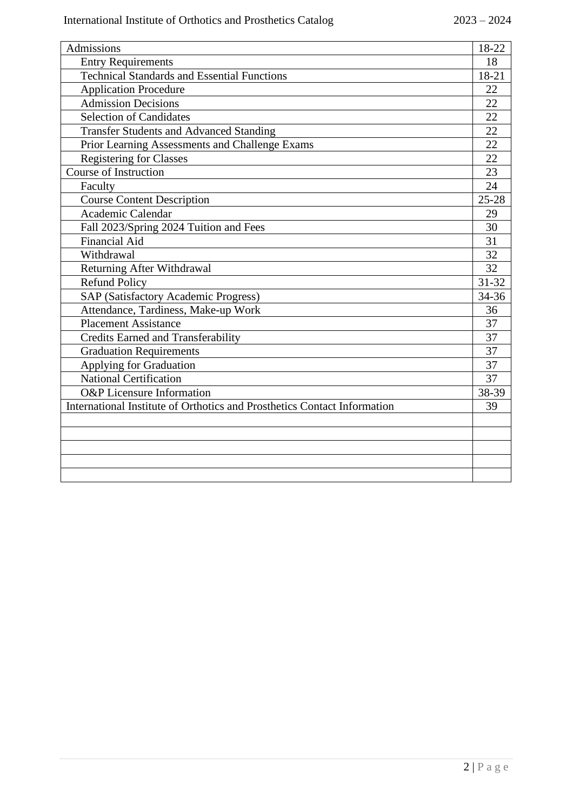| <b>Admissions</b>                                                        | 18-22           |
|--------------------------------------------------------------------------|-----------------|
| <b>Entry Requirements</b>                                                | 18              |
| <b>Technical Standards and Essential Functions</b>                       | 18-21           |
| <b>Application Procedure</b>                                             | 22              |
| <b>Admission Decisions</b>                                               | 22              |
| <b>Selection of Candidates</b>                                           | 22              |
| <b>Transfer Students and Advanced Standing</b>                           | 22              |
| Prior Learning Assessments and Challenge Exams                           | $\overline{22}$ |
| <b>Registering for Classes</b>                                           | 22              |
| <b>Course of Instruction</b>                                             | 23              |
| Faculty                                                                  | 24              |
| <b>Course Content Description</b>                                        | $25 - 28$       |
| Academic Calendar                                                        | 29              |
| Fall 2023/Spring 2024 Tuition and Fees                                   | 30              |
| <b>Financial Aid</b>                                                     | $\overline{31}$ |
| Withdrawal                                                               | 32              |
| Returning After Withdrawal                                               | 32              |
| <b>Refund Policy</b>                                                     | $31 - 32$       |
| <b>SAP (Satisfactory Academic Progress)</b>                              | 34-36           |
| Attendance, Tardiness, Make-up Work                                      | 36              |
| <b>Placement Assistance</b>                                              | 37              |
| <b>Credits Earned and Transferability</b>                                | 37              |
| <b>Graduation Requirements</b>                                           | 37              |
| Applying for Graduation                                                  | 37              |
| <b>National Certification</b>                                            | 37              |
| <b>O&amp;P</b> Licensure Information                                     | 38-39           |
| International Institute of Orthotics and Prosthetics Contact Information | 39              |
|                                                                          |                 |
|                                                                          |                 |
|                                                                          |                 |
|                                                                          |                 |
|                                                                          |                 |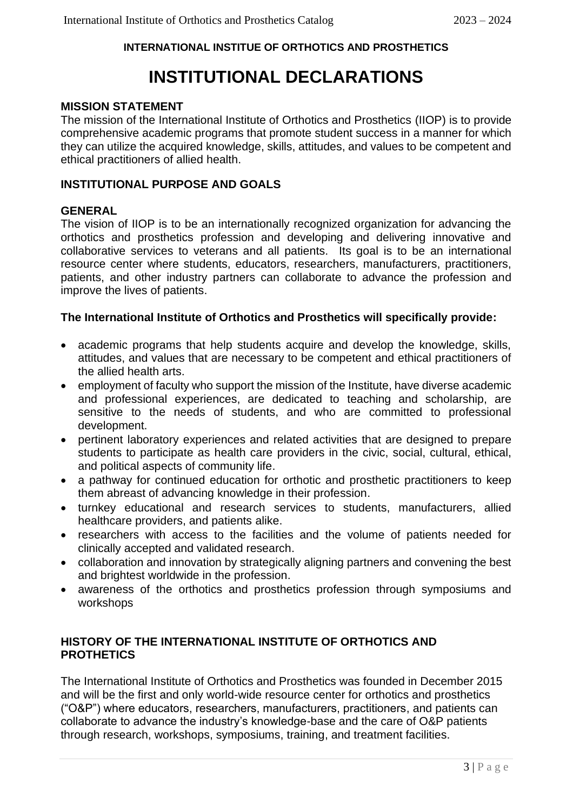### **INTERNATIONAL INSTITUE OF ORTHOTICS AND PROSTHETICS**

# **INSTITUTIONAL DECLARATIONS**

#### **MISSION STATEMENT**

The mission of the International Institute of Orthotics and Prosthetics (IIOP) is to provide comprehensive academic programs that promote student success in a manner for which they can utilize the acquired knowledge, skills, attitudes, and values to be competent and ethical practitioners of allied health.

#### **INSTITUTIONAL PURPOSE AND GOALS**

#### **GENERAL**

The vision of IIOP is to be an internationally recognized organization for advancing the orthotics and prosthetics profession and developing and delivering innovative and collaborative services to veterans and all patients. Its goal is to be an international resource center where students, educators, researchers, manufacturers, practitioners, patients, and other industry partners can collaborate to advance the profession and improve the lives of patients.

#### **The International Institute of Orthotics and Prosthetics will specifically provide:**

- academic programs that help students acquire and develop the knowledge, skills, attitudes, and values that are necessary to be competent and ethical practitioners of the allied health arts.
- employment of faculty who support the mission of the Institute, have diverse academic and professional experiences, are dedicated to teaching and scholarship, are sensitive to the needs of students, and who are committed to professional development.
- pertinent laboratory experiences and related activities that are designed to prepare students to participate as health care providers in the civic, social, cultural, ethical, and political aspects of community life.
- a pathway for continued education for orthotic and prosthetic practitioners to keep them abreast of advancing knowledge in their profession.
- turnkey educational and research services to students, manufacturers, allied healthcare providers, and patients alike.
- researchers with access to the facilities and the volume of patients needed for clinically accepted and validated research.
- collaboration and innovation by strategically aligning partners and convening the best and brightest worldwide in the profession.
- awareness of the orthotics and prosthetics profession through symposiums and workshops

#### **HISTORY OF THE INTERNATIONAL INSTITUTE OF ORTHOTICS AND PROTHETICS**

The International Institute of Orthotics and Prosthetics was founded in December 2015 and will be the first and only world-wide resource center for orthotics and prosthetics ("O&P") where educators, researchers, manufacturers, practitioners, and patients can collaborate to advance the industry's knowledge-base and the care of O&P patients through research, workshops, symposiums, training, and treatment facilities.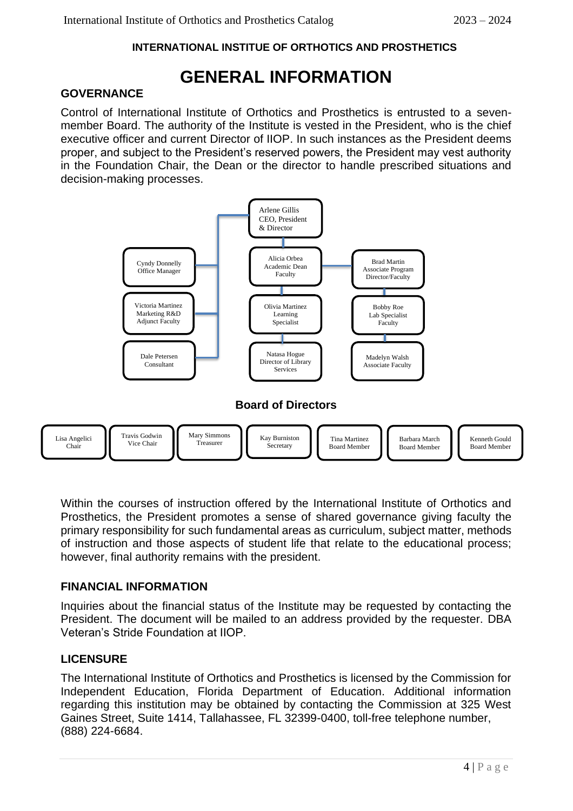#### **INTERNATIONAL INSTITUE OF ORTHOTICS AND PROSTHETICS**

# **GENERAL INFORMATION**

#### **GOVERNANCE**

Control of International Institute of Orthotics and Prosthetics is entrusted to a sevenmember Board. The authority of the Institute is vested in the President, who is the chief executive officer and current Director of IIOP. In such instances as the President deems proper, and subject to the President's reserved powers, the President may vest authority in the Foundation Chair, the Dean or the director to handle prescribed situations and decision-making processes.



Within the courses of instruction offered by the International Institute of Orthotics and Prosthetics, the President promotes a sense of shared governance giving faculty the primary responsibility for such fundamental areas as curriculum, subject matter, methods of instruction and those aspects of student life that relate to the educational process; however, final authority remains with the president.

#### **FINANCIAL INFORMATION**

Inquiries about the financial status of the Institute may be requested by contacting the President. The document will be mailed to an address provided by the requester. DBA Veteran's Stride Foundation at IIOP.

#### **LICENSURE**

The International Institute of Orthotics and Prosthetics is licensed by the Commission for Independent Education, Florida Department of Education. Additional information regarding this institution may be obtained by contacting the Commission at 325 West Gaines Street, Suite 1414, Tallahassee, FL 32399-0400, toll-free telephone number, (888) 224-6684.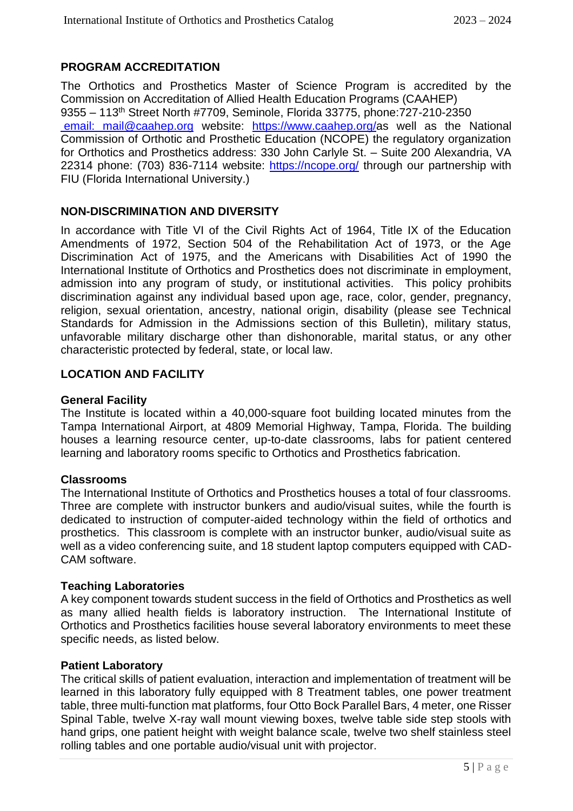#### **PROGRAM ACCREDITATION**

The Orthotics and Prosthetics Master of Science Program is accredited by the Commission on Accreditation of Allied Health Education Programs (CAAHEP) 9355 – 113th Street North #7709, Seminole, Florida 33775, phone:727-210-2350 [email: mail@caahep.org](mailto: email:%20mail@caahep.org) website: [https://www.caahep.org/a](https://www.caahep.org/)s well as the National Commission of Orthotic and Prosthetic Education (NCOPE) the regulatory organization for Orthotics and Prosthetics address: 330 John Carlyle St. – Suite 200 Alexandria, VA 22314 phone: (703) 836-7114 website:<https://ncope.org/> through our partnership with FIU (Florida International University.)

#### **NON-DISCRIMINATION AND DIVERSITY**

In accordance with Title VI of the Civil Rights Act of 1964, Title IX of the Education Amendments of 1972, Section 504 of the Rehabilitation Act of 1973, or the Age Discrimination Act of 1975, and the Americans with Disabilities Act of 1990 the International Institute of Orthotics and Prosthetics does not discriminate in employment, admission into any program of study, or institutional activities. This policy prohibits discrimination against any individual based upon age, race, color, gender, pregnancy, religion, sexual orientation, ancestry, national origin, disability (please see Technical Standards for Admission in the Admissions section of this Bulletin), military status, unfavorable military discharge other than dishonorable, marital status, or any other characteristic protected by federal, state, or local law.

#### **LOCATION AND FACILITY**

#### **General Facility**

The Institute is located within a 40,000-square foot building located minutes from the Tampa International Airport, at 4809 Memorial Highway, Tampa, Florida. The building houses a learning resource center, up-to-date classrooms, labs for patient centered learning and laboratory rooms specific to Orthotics and Prosthetics fabrication.

#### **Classrooms**

The International Institute of Orthotics and Prosthetics houses a total of four classrooms. Three are complete with instructor bunkers and audio/visual suites, while the fourth is dedicated to instruction of computer-aided technology within the field of orthotics and prosthetics. This classroom is complete with an instructor bunker, audio/visual suite as well as a video conferencing suite, and 18 student laptop computers equipped with CAD-CAM software.

#### **Teaching Laboratories**

A key component towards student success in the field of Orthotics and Prosthetics as well as many allied health fields is laboratory instruction. The International Institute of Orthotics and Prosthetics facilities house several laboratory environments to meet these specific needs, as listed below.

#### **Patient Laboratory**

The critical skills of patient evaluation, interaction and implementation of treatment will be learned in this laboratory fully equipped with 8 Treatment tables, one power treatment table, three multi-function mat platforms, four Otto Bock Parallel Bars, 4 meter, one Risser Spinal Table, twelve X-ray wall mount viewing boxes, twelve table side step stools with hand grips, one patient height with weight balance scale, twelve two shelf stainless steel rolling tables and one portable audio/visual unit with projector.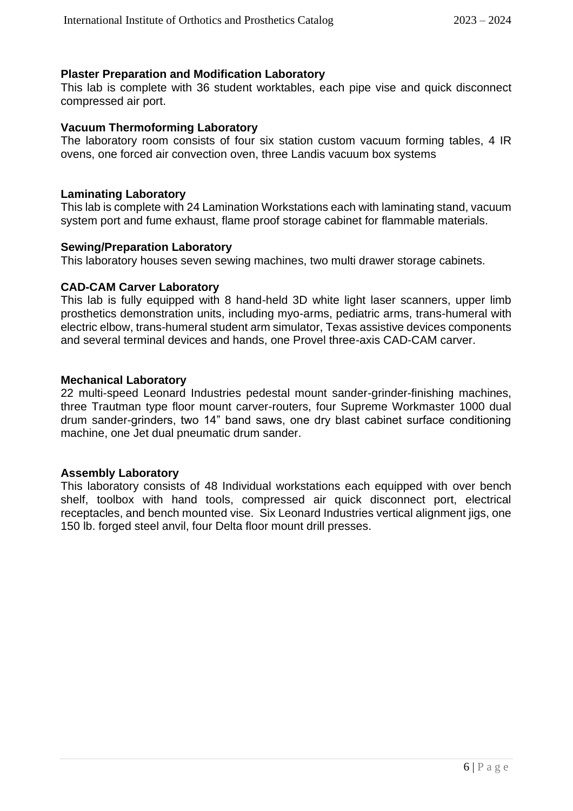#### **Plaster Preparation and Modification Laboratory**

This lab is complete with 36 student worktables, each pipe vise and quick disconnect compressed air port.

#### **Vacuum Thermoforming Laboratory**

The laboratory room consists of four six station custom vacuum forming tables, 4 IR ovens, one forced air convection oven, three Landis vacuum box systems

#### **Laminating Laboratory**

This lab is complete with 24 Lamination Workstations each with laminating stand, vacuum system port and fume exhaust, flame proof storage cabinet for flammable materials.

#### **Sewing/Preparation Laboratory**

This laboratory houses seven sewing machines, two multi drawer storage cabinets.

#### **CAD-CAM Carver Laboratory**

This lab is fully equipped with 8 hand-held 3D white light laser scanners, upper limb prosthetics demonstration units, including myo-arms, pediatric arms, trans-humeral with electric elbow, trans-humeral student arm simulator, Texas assistive devices components and several terminal devices and hands, one Provel three-axis CAD-CAM carver.

#### **Mechanical Laboratory**

22 multi-speed Leonard Industries pedestal mount sander-grinder-finishing machines, three Trautman type floor mount carver-routers, four Supreme Workmaster 1000 dual drum sander-grinders, two 14" band saws, one dry blast cabinet surface conditioning machine, one Jet dual pneumatic drum sander.

#### **Assembly Laboratory**

This laboratory consists of 48 Individual workstations each equipped with over bench shelf, toolbox with hand tools, compressed air quick disconnect port, electrical receptacles, and bench mounted vise. Six Leonard Industries vertical alignment jigs, one 150 lb. forged steel anvil, four Delta floor mount drill presses.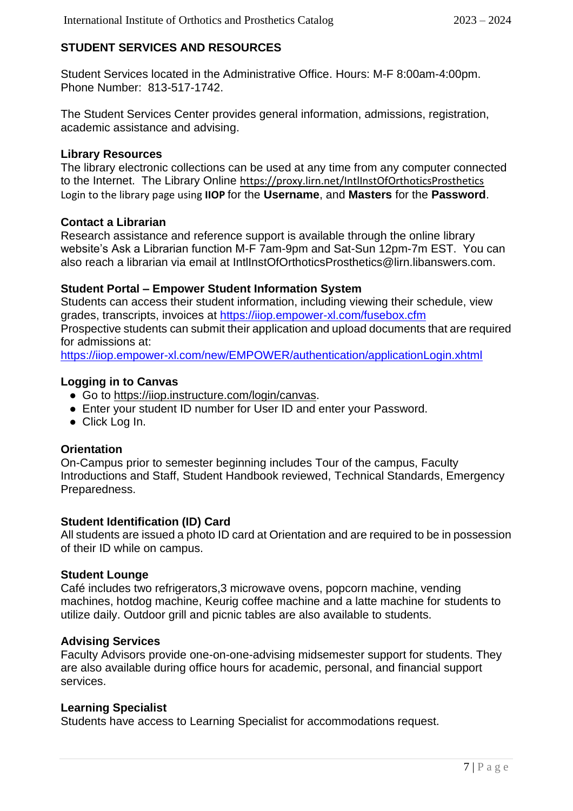### **STUDENT SERVICES AND RESOURCES**

Student Services located in the Administrative Office. Hours: M-F 8:00am-4:00pm. Phone Number: 813-517-1742.

The Student Services Center provides general information, admissions, registration, academic assistance and advising.

#### **Library Resources**

The library electronic collections can be used at any time from any computer connected to the Internet. The Library Online <https://proxy.lirn.net/IntlInstOfOrthoticsProsthetics> Login to the library page using **IIOP** for the **Username**, and **Masters** for the **Password**.

#### **Contact a Librarian**

Research assistance and reference support is available through the online library website's Ask a Librarian function M-F 7am-9pm and Sat-Sun 12pm-7m EST. You can also reach a librarian via email at IntlInstOfOrthoticsProsthetics@lirn.libanswers.com.

#### **Student Portal – Empower Student Information System**

Students can access their student information, including viewing their schedule, view grades, transcripts, invoices at<https://iiop.empower-xl.com/fusebox.cfm> Prospective students can submit their application and upload documents that are required for admissions at:

<https://iiop.empower-xl.com/new/EMPOWER/authentication/applicationLogin.xhtml>

#### **Logging in to Canvas**

- Go to https://iiop.instructure.com/login/canvas.
- Enter your student ID number for User ID and enter your Password.
- Click Log In.

#### **Orientation**

On-Campus prior to semester beginning includes Tour of the campus, Faculty Introductions and Staff, Student Handbook reviewed, Technical Standards, Emergency Preparedness.

#### **Student Identification (ID) Card**

All students are issued a photo ID card at Orientation and are required to be in possession of their ID while on campus.

#### **Student Lounge**

Café includes two refrigerators,3 microwave ovens, popcorn machine, vending machines, hotdog machine, Keurig coffee machine and a latte machine for students to utilize daily. Outdoor grill and picnic tables are also available to students.

#### **Advising Services**

Faculty Advisors provide one-on-one-advising midsemester support for students. They are also available during office hours for academic, personal, and financial support services.

#### **Learning Specialist**

Students have access to Learning Specialist for accommodations request.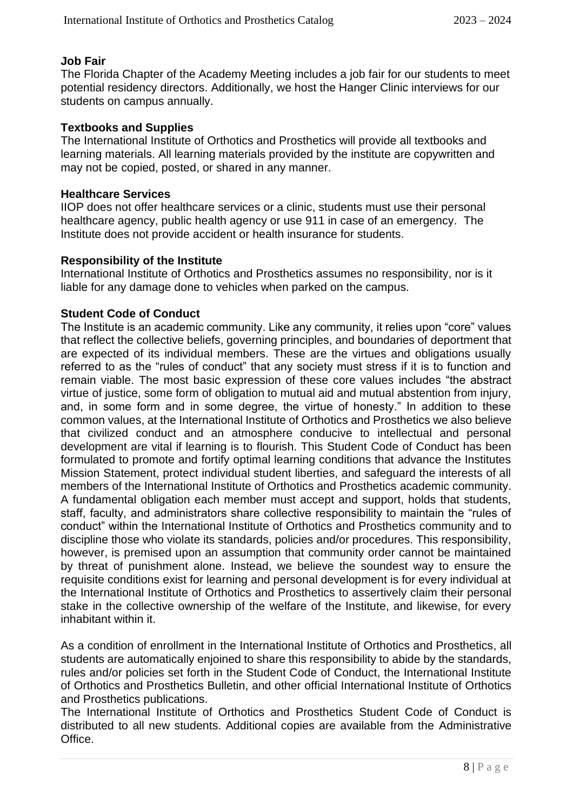#### **Job Fair**

The Florida Chapter of the Academy Meeting includes a job fair for our students to meet potential residency directors. Additionally, we host the Hanger Clinic interviews for our students on campus annually.

#### **Textbooks and Supplies**

The International Institute of Orthotics and Prosthetics will provide all textbooks and learning materials. All learning materials provided by the institute are copywritten and may not be copied, posted, or shared in any manner.

#### **Healthcare Services**

IIOP does not offer healthcare services or a clinic, students must use their personal healthcare agency, public health agency or use 911 in case of an emergency. The Institute does not provide accident or health insurance for students.

#### **Responsibility of the Institute**

International Institute of Orthotics and Prosthetics assumes no responsibility, nor is it liable for any damage done to vehicles when parked on the campus.

#### **Student Code of Conduct**

The Institute is an academic community. Like any community, it relies upon "core" values that reflect the collective beliefs, governing principles, and boundaries of deportment that are expected of its individual members. These are the virtues and obligations usually referred to as the "rules of conduct" that any society must stress if it is to function and remain viable. The most basic expression of these core values includes "the abstract virtue of justice, some form of obligation to mutual aid and mutual abstention from injury, and, in some form and in some degree, the virtue of honesty." In addition to these common values, at the International Institute of Orthotics and Prosthetics we also believe that civilized conduct and an atmosphere conducive to intellectual and personal development are vital if learning is to flourish. This Student Code of Conduct has been formulated to promote and fortify optimal learning conditions that advance the Institutes Mission Statement, protect individual student liberties, and safeguard the interests of all members of the International Institute of Orthotics and Prosthetics academic community. A fundamental obligation each member must accept and support, holds that students, staff, faculty, and administrators share collective responsibility to maintain the "rules of conduct" within the International Institute of Orthotics and Prosthetics community and to discipline those who violate its standards, policies and/or procedures. This responsibility, however, is premised upon an assumption that community order cannot be maintained by threat of punishment alone. Instead, we believe the soundest way to ensure the requisite conditions exist for learning and personal development is for every individual at the International Institute of Orthotics and Prosthetics to assertively claim their personal stake in the collective ownership of the welfare of the Institute, and likewise, for every inhabitant within it.

As a condition of enrollment in the International Institute of Orthotics and Prosthetics, all students are automatically enjoined to share this responsibility to abide by the standards, rules and/or policies set forth in the Student Code of Conduct, the International Institute of Orthotics and Prosthetics Bulletin, and other official International Institute of Orthotics and Prosthetics publications.

The International Institute of Orthotics and Prosthetics Student Code of Conduct is distributed to all new students. Additional copies are available from the Administrative Office.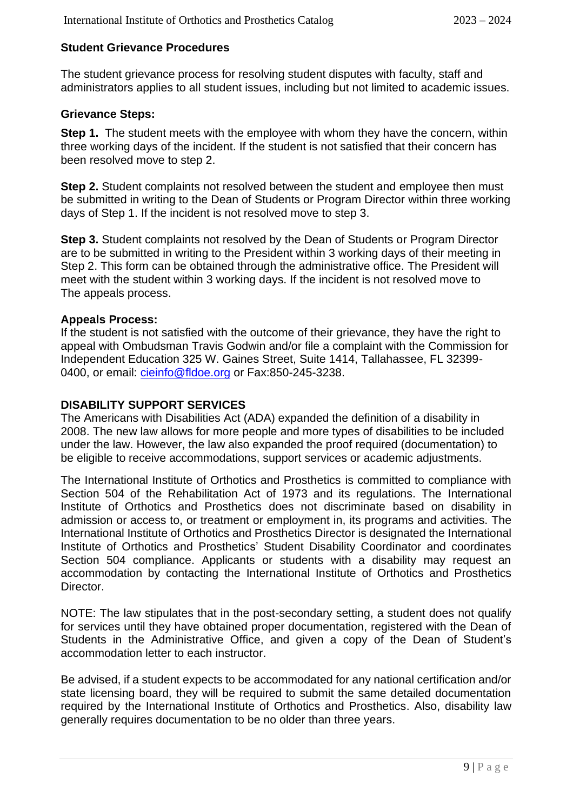#### **Student Grievance Procedures**

The student grievance process for resolving student disputes with faculty, staff and administrators applies to all student issues, including but not limited to academic issues.

#### **Grievance Steps:**

**Step 1.** The student meets with the employee with whom they have the concern, within three working days of the incident. If the student is not satisfied that their concern has been resolved move to step 2.

**Step 2.** Student complaints not resolved between the student and employee then must be submitted in writing to the Dean of Students or Program Director within three working days of Step 1. If the incident is not resolved move to step 3.

**Step 3.** Student complaints not resolved by the Dean of Students or Program Director are to be submitted in writing to the President within 3 working days of their meeting in Step 2. This form can be obtained through the administrative office. The President will meet with the student within 3 working days. If the incident is not resolved move to The appeals process.

#### **Appeals Process:**

If the student is not satisfied with the outcome of their grievance, they have the right to appeal with Ombudsman Travis Godwin and/or file a complaint with the Commission for Independent Education 325 W. Gaines Street, Suite 1414, Tallahassee, FL 32399- 0400, or email: [cieinfo@fldoe.org](mailto:cieinfo@fldoe.org) or Fax:850-245-3238.

#### **DISABILITY SUPPORT SERVICES**

The Americans with Disabilities Act (ADA) expanded the definition of a disability in 2008. The new law allows for more people and more types of disabilities to be included under the law. However, the law also expanded the proof required (documentation) to be eligible to receive accommodations, support services or academic adjustments.

The International Institute of Orthotics and Prosthetics is committed to compliance with Section 504 of the Rehabilitation Act of 1973 and its regulations. The International Institute of Orthotics and Prosthetics does not discriminate based on disability in admission or access to, or treatment or employment in, its programs and activities. The International Institute of Orthotics and Prosthetics Director is designated the International Institute of Orthotics and Prosthetics' Student Disability Coordinator and coordinates Section 504 compliance. Applicants or students with a disability may request an accommodation by contacting the International Institute of Orthotics and Prosthetics Director.

NOTE: The law stipulates that in the post-secondary setting, a student does not qualify for services until they have obtained proper documentation, registered with the Dean of Students in the Administrative Office, and given a copy of the Dean of Student's accommodation letter to each instructor.

Be advised, if a student expects to be accommodated for any national certification and/or state licensing board, they will be required to submit the same detailed documentation required by the International Institute of Orthotics and Prosthetics. Also, disability law generally requires documentation to be no older than three years.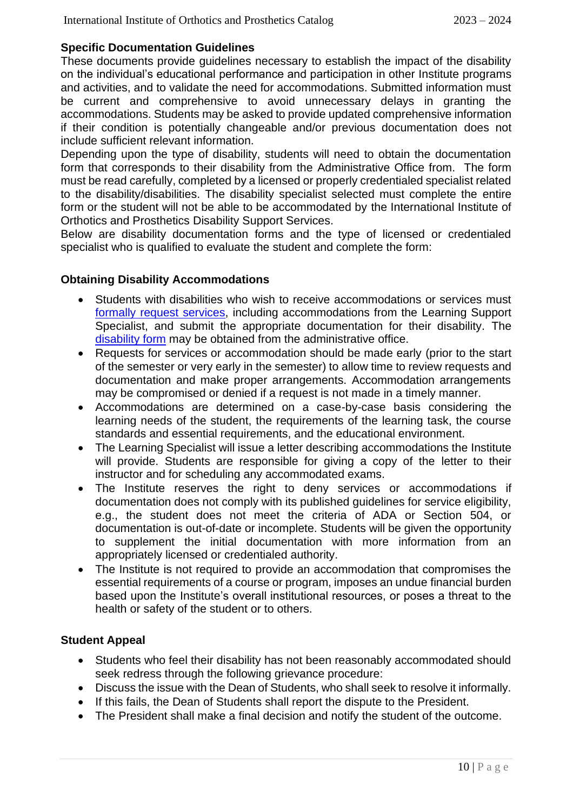#### **Specific Documentation Guidelines**

These documents provide guidelines necessary to establish the impact of the disability on the individual's educational performance and participation in other Institute programs and activities, and to validate the need for accommodations. Submitted information must be current and comprehensive to avoid unnecessary delays in granting the accommodations. Students may be asked to provide updated comprehensive information if their condition is potentially changeable and/or previous documentation does not include sufficient relevant information.

Depending upon the type of disability, students will need to obtain the documentation form that corresponds to their disability from the Administrative Office from. The form must be read carefully, completed by a licensed or properly credentialed specialist related to the disability/disabilities. The disability specialist selected must complete the entire form or the student will not be able to be accommodated by the International Institute of Orthotics and Prosthetics Disability Support Services.

Below are disability documentation forms and the type of licensed or credentialed specialist who is qualified to evaluate the student and complete the form:

#### **Obtaining Disability Accommodations**

- Students with disabilities who wish to receive accommodations or services must [formally request services,](https://iiofoandp.org/wp-content/uploads/2021/05/IIOP-Accomm-Procedure.docx) including accommodations from the Learning Support Specialist, and submit the appropriate documentation for their disability. The [disability form](https://iiofoandp.org/wp-content/uploads/2021/05/IIOP-Support-Plan.docx) may be obtained from the administrative office.
- Requests for services or accommodation should be made early (prior to the start of the semester or very early in the semester) to allow time to review requests and documentation and make proper arrangements. Accommodation arrangements may be compromised or denied if a request is not made in a timely manner.
- Accommodations are determined on a case-by-case basis considering the learning needs of the student, the requirements of the learning task, the course standards and essential requirements, and the educational environment.
- The Learning Specialist will issue a letter describing accommodations the Institute will provide. Students are responsible for giving a copy of the letter to their instructor and for scheduling any accommodated exams.
- The Institute reserves the right to deny services or accommodations if documentation does not comply with its published guidelines for service eligibility, e.g., the student does not meet the criteria of ADA or Section 504, or documentation is out-of-date or incomplete. Students will be given the opportunity to supplement the initial documentation with more information from an appropriately licensed or credentialed authority.
- The Institute is not required to provide an accommodation that compromises the essential requirements of a course or program, imposes an undue financial burden based upon the Institute's overall institutional resources, or poses a threat to the health or safety of the student or to others.

#### **Student Appeal**

- Students who feel their disability has not been reasonably accommodated should seek redress through the following grievance procedure:
- Discuss the issue with the Dean of Students, who shall seek to resolve it informally.
- If this fails, the Dean of Students shall report the dispute to the President.
- The President shall make a final decision and notify the student of the outcome.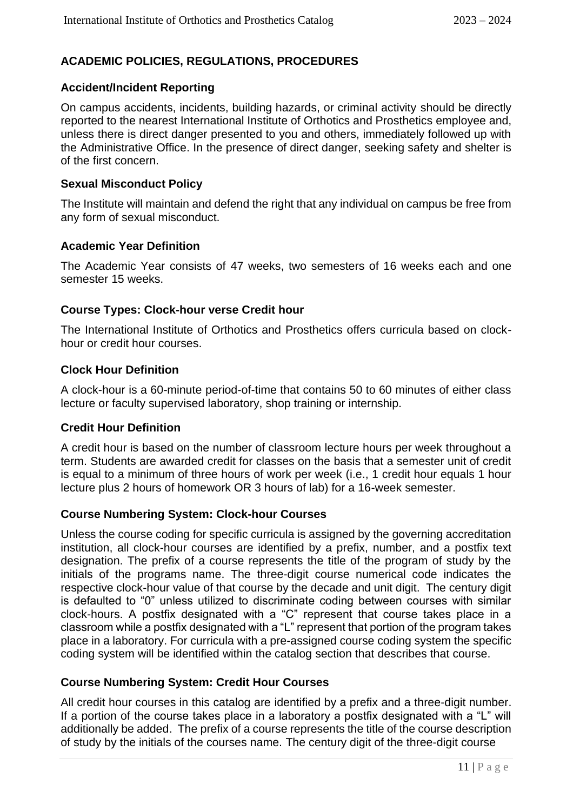### **ACADEMIC POLICIES, REGULATIONS, PROCEDURES**

#### **Accident/Incident Reporting**

On campus accidents, incidents, building hazards, or criminal activity should be directly reported to the nearest International Institute of Orthotics and Prosthetics employee and, unless there is direct danger presented to you and others, immediately followed up with the Administrative Office. In the presence of direct danger, seeking safety and shelter is of the first concern.

#### **Sexual Misconduct Policy**

The Institute will maintain and defend the right that any individual on campus be free from any form of sexual misconduct.

#### **Academic Year Definition**

The Academic Year consists of 47 weeks, two semesters of 16 weeks each and one semester 15 weeks.

#### **Course Types: Clock-hour verse Credit hour**

The International Institute of Orthotics and Prosthetics offers curricula based on clockhour or credit hour courses.

#### **Clock Hour Definition**

A clock-hour is a 60-minute period-of-time that contains 50 to 60 minutes of either class lecture or faculty supervised laboratory, shop training or internship.

#### **Credit Hour Definition**

A credit hour is based on the number of classroom lecture hours per week throughout a term. Students are awarded credit for classes on the basis that a semester unit of credit is equal to a minimum of three hours of work per week (i.e., 1 credit hour equals 1 hour lecture plus 2 hours of homework OR 3 hours of lab) for a 16-week semester.

#### **Course Numbering System: Clock-hour Courses**

Unless the course coding for specific curricula is assigned by the governing accreditation institution, all clock-hour courses are identified by a prefix, number, and a postfix text designation. The prefix of a course represents the title of the program of study by the initials of the programs name. The three-digit course numerical code indicates the respective clock-hour value of that course by the decade and unit digit. The century digit is defaulted to "0" unless utilized to discriminate coding between courses with similar clock-hours. A postfix designated with a "C" represent that course takes place in a classroom while a postfix designated with a "L" represent that portion of the program takes place in a laboratory. For curricula with a pre-assigned course coding system the specific coding system will be identified within the catalog section that describes that course.

#### **Course Numbering System: Credit Hour Courses**

All credit hour courses in this catalog are identified by a prefix and a three-digit number. If a portion of the course takes place in a laboratory a postfix designated with a "L" will additionally be added. The prefix of a course represents the title of the course description of study by the initials of the courses name. The century digit of the three-digit course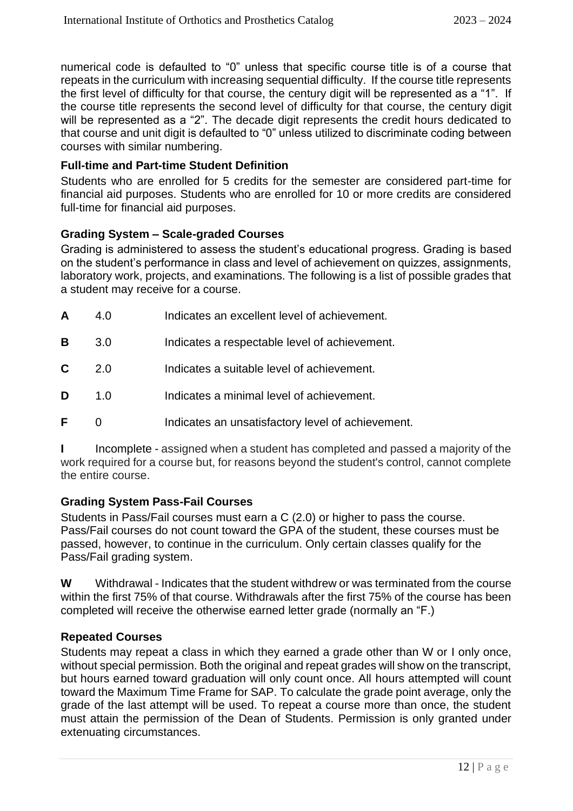numerical code is defaulted to "0" unless that specific course title is of a course that repeats in the curriculum with increasing sequential difficulty. If the course title represents the first level of difficulty for that course, the century digit will be represented as a "1". If the course title represents the second level of difficulty for that course, the century digit will be represented as a "2". The decade digit represents the credit hours dedicated to that course and unit digit is defaulted to "0" unless utilized to discriminate coding between courses with similar numbering.

#### **Full-time and Part-time Student Definition**

Students who are enrolled for 5 credits for the semester are considered part-time for financial aid purposes. Students who are enrolled for 10 or more credits are considered full-time for financial aid purposes.

#### **Grading System – Scale-graded Courses**

Grading is administered to assess the student's educational progress. Grading is based on the student's performance in class and level of achievement on quizzes, assignments, laboratory work, projects, and examinations. The following is a list of possible grades that a student may receive for a course.

| A | 4.0 | Indicates an excellent level of achievement.      |
|---|-----|---------------------------------------------------|
| в | 3.0 | Indicates a respectable level of achievement.     |
| C | 2.0 | Indicates a suitable level of achievement.        |
| D | 1.0 | Indicates a minimal level of achievement.         |
| F |     | Indicates an unsatisfactory level of achievement. |

Incomplete - assigned when a student has completed and passed a majority of the work required for a course but, for reasons beyond the student's control, cannot complete the entire course.

#### **Grading System Pass-Fail Courses**

Students in Pass/Fail courses must earn a C (2.0) or higher to pass the course. Pass/Fail courses do not count toward the GPA of the student, these courses must be passed, however, to continue in the curriculum. Only certain classes qualify for the Pass/Fail grading system.

**W** Withdrawal - Indicates that the student withdrew or was terminated from the course within the first 75% of that course. Withdrawals after the first 75% of the course has been completed will receive the otherwise earned letter grade (normally an "F.)

#### **Repeated Courses**

Students may repeat a class in which they earned a grade other than W or I only once, without special permission. Both the original and repeat grades will show on the transcript, but hours earned toward graduation will only count once. All hours attempted will count toward the Maximum Time Frame for SAP. To calculate the grade point average, only the grade of the last attempt will be used. To repeat a course more than once, the student must attain the permission of the Dean of Students. Permission is only granted under extenuating circumstances.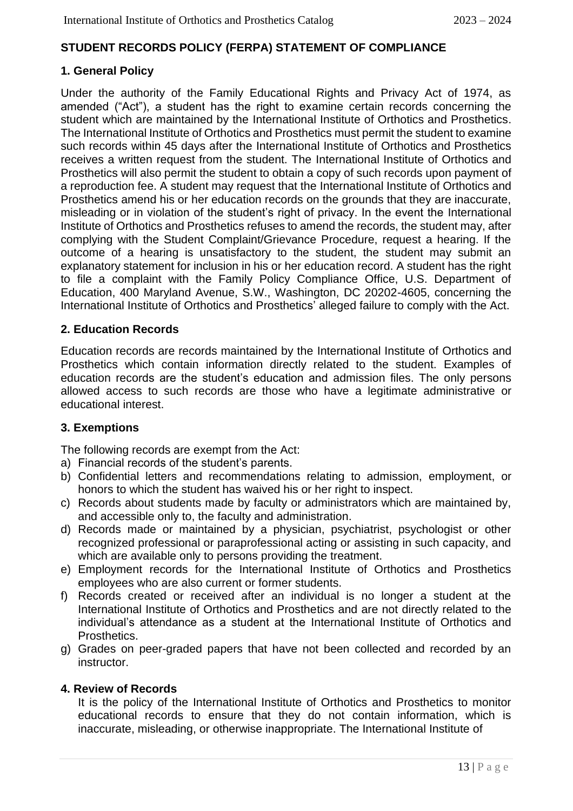#### **STUDENT RECORDS POLICY (FERPA) STATEMENT OF COMPLIANCE**

#### **1. General Policy**

Under the authority of the Family Educational Rights and Privacy Act of 1974, as amended ("Act"), a student has the right to examine certain records concerning the student which are maintained by the International Institute of Orthotics and Prosthetics. The International Institute of Orthotics and Prosthetics must permit the student to examine such records within 45 days after the International Institute of Orthotics and Prosthetics receives a written request from the student. The International Institute of Orthotics and Prosthetics will also permit the student to obtain a copy of such records upon payment of a reproduction fee. A student may request that the International Institute of Orthotics and Prosthetics amend his or her education records on the grounds that they are inaccurate, misleading or in violation of the student's right of privacy. In the event the International Institute of Orthotics and Prosthetics refuses to amend the records, the student may, after complying with the Student Complaint/Grievance Procedure, request a hearing. If the outcome of a hearing is unsatisfactory to the student, the student may submit an explanatory statement for inclusion in his or her education record. A student has the right to file a complaint with the Family Policy Compliance Office, U.S. Department of Education, 400 Maryland Avenue, S.W., Washington, DC 20202-4605, concerning the International Institute of Orthotics and Prosthetics' alleged failure to comply with the Act.

#### **2. Education Records**

Education records are records maintained by the International Institute of Orthotics and Prosthetics which contain information directly related to the student. Examples of education records are the student's education and admission files. The only persons allowed access to such records are those who have a legitimate administrative or educational interest.

#### **3. Exemptions**

The following records are exempt from the Act:

- a) Financial records of the student's parents.
- b) Confidential letters and recommendations relating to admission, employment, or honors to which the student has waived his or her right to inspect.
- c) Records about students made by faculty or administrators which are maintained by, and accessible only to, the faculty and administration.
- d) Records made or maintained by a physician, psychiatrist, psychologist or other recognized professional or paraprofessional acting or assisting in such capacity, and which are available only to persons providing the treatment.
- e) Employment records for the International Institute of Orthotics and Prosthetics employees who are also current or former students.
- f) Records created or received after an individual is no longer a student at the International Institute of Orthotics and Prosthetics and are not directly related to the individual's attendance as a student at the International Institute of Orthotics and Prosthetics.
- g) Grades on peer-graded papers that have not been collected and recorded by an instructor.

#### **4. Review of Records**

It is the policy of the International Institute of Orthotics and Prosthetics to monitor educational records to ensure that they do not contain information, which is inaccurate, misleading, or otherwise inappropriate. The International Institute of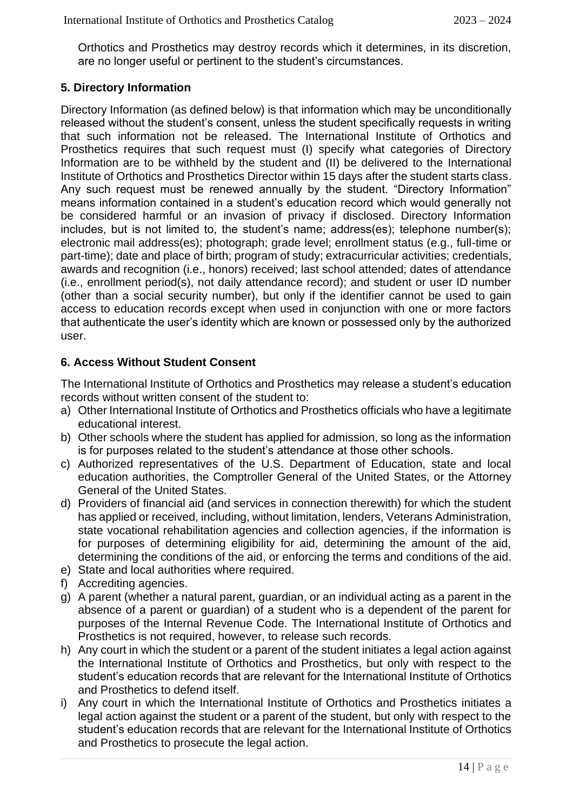Orthotics and Prosthetics may destroy records which it determines, in its discretion, are no longer useful or pertinent to the student's circumstances.

#### **5. Directory Information**

Directory Information (as defined below) is that information which may be unconditionally released without the student's consent, unless the student specifically requests in writing that such information not be released. The International Institute of Orthotics and Prosthetics requires that such request must (I) specify what categories of Directory Information are to be withheld by the student and (II) be delivered to the International Institute of Orthotics and Prosthetics Director within 15 days after the student starts class. Any such request must be renewed annually by the student. "Directory Information" means information contained in a student's education record which would generally not be considered harmful or an invasion of privacy if disclosed. Directory Information includes, but is not limited to, the student's name; address(es); telephone number(s); electronic mail address(es); photograph; grade level; enrollment status (e.g., full-time or part-time); date and place of birth; program of study; extracurricular activities; credentials, awards and recognition (i.e., honors) received; last school attended; dates of attendance (i.e., enrollment period(s), not daily attendance record); and student or user ID number (other than a social security number), but only if the identifier cannot be used to gain access to education records except when used in conjunction with one or more factors that authenticate the user's identity which are known or possessed only by the authorized user.

#### **6. Access Without Student Consent**

The International Institute of Orthotics and Prosthetics may release a student's education records without written consent of the student to:

- a) Other International Institute of Orthotics and Prosthetics officials who have a legitimate educational interest.
- b) Other schools where the student has applied for admission, so long as the information is for purposes related to the student's attendance at those other schools.
- c) Authorized representatives of the U.S. Department of Education, state and local education authorities, the Comptroller General of the United States, or the Attorney General of the United States.
- d) Providers of financial aid (and services in connection therewith) for which the student has applied or received, including, without limitation, lenders, Veterans Administration, state vocational rehabilitation agencies and collection agencies, if the information is for purposes of determining eligibility for aid, determining the amount of the aid, determining the conditions of the aid, or enforcing the terms and conditions of the aid.
- e) State and local authorities where required.
- f) Accrediting agencies.
- g) A parent (whether a natural parent, guardian, or an individual acting as a parent in the absence of a parent or guardian) of a student who is a dependent of the parent for purposes of the Internal Revenue Code. The International Institute of Orthotics and Prosthetics is not required, however, to release such records.
- h) Any court in which the student or a parent of the student initiates a legal action against the International Institute of Orthotics and Prosthetics, but only with respect to the student's education records that are relevant for the International Institute of Orthotics and Prosthetics to defend itself.
- i) Any court in which the International Institute of Orthotics and Prosthetics initiates a legal action against the student or a parent of the student, but only with respect to the student's education records that are relevant for the International Institute of Orthotics and Prosthetics to prosecute the legal action.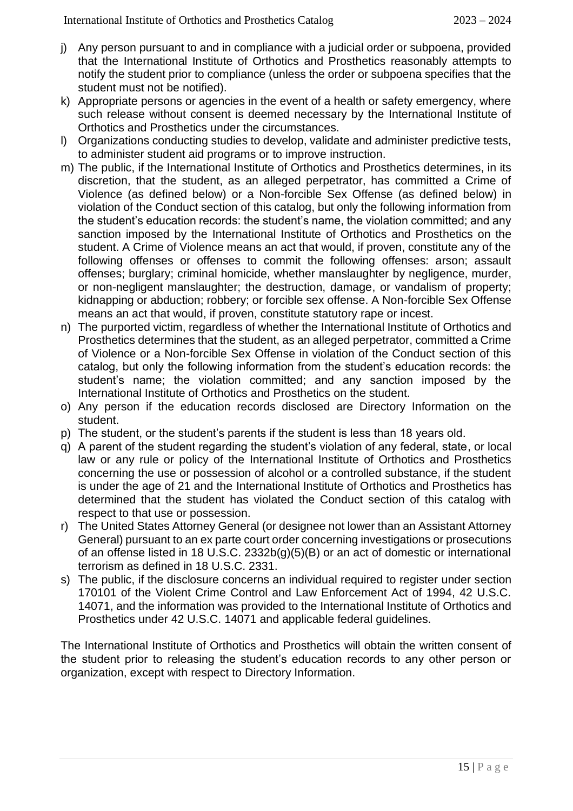- j) Any person pursuant to and in compliance with a judicial order or subpoena, provided that the International Institute of Orthotics and Prosthetics reasonably attempts to notify the student prior to compliance (unless the order or subpoena specifies that the student must not be notified).
- k) Appropriate persons or agencies in the event of a health or safety emergency, where such release without consent is deemed necessary by the International Institute of Orthotics and Prosthetics under the circumstances.
- l) Organizations conducting studies to develop, validate and administer predictive tests, to administer student aid programs or to improve instruction.
- m) The public, if the International Institute of Orthotics and Prosthetics determines, in its discretion, that the student, as an alleged perpetrator, has committed a Crime of Violence (as defined below) or a Non-forcible Sex Offense (as defined below) in violation of the Conduct section of this catalog, but only the following information from the student's education records: the student's name, the violation committed; and any sanction imposed by the International Institute of Orthotics and Prosthetics on the student. A Crime of Violence means an act that would, if proven, constitute any of the following offenses or offenses to commit the following offenses: arson; assault offenses; burglary; criminal homicide, whether manslaughter by negligence, murder, or non-negligent manslaughter; the destruction, damage, or vandalism of property; kidnapping or abduction; robbery; or forcible sex offense. A Non-forcible Sex Offense means an act that would, if proven, constitute statutory rape or incest.
- n) The purported victim, regardless of whether the International Institute of Orthotics and Prosthetics determines that the student, as an alleged perpetrator, committed a Crime of Violence or a Non-forcible Sex Offense in violation of the Conduct section of this catalog, but only the following information from the student's education records: the student's name; the violation committed; and any sanction imposed by the International Institute of Orthotics and Prosthetics on the student.
- o) Any person if the education records disclosed are Directory Information on the student.
- p) The student, or the student's parents if the student is less than 18 years old.
- q) A parent of the student regarding the student's violation of any federal, state, or local law or any rule or policy of the International Institute of Orthotics and Prosthetics concerning the use or possession of alcohol or a controlled substance, if the student is under the age of 21 and the International Institute of Orthotics and Prosthetics has determined that the student has violated the Conduct section of this catalog with respect to that use or possession.
- r) The United States Attorney General (or designee not lower than an Assistant Attorney General) pursuant to an ex parte court order concerning investigations or prosecutions of an offense listed in 18 U.S.C. 2332b(g)(5)(B) or an act of domestic or international terrorism as defined in 18 U.S.C. 2331.
- s) The public, if the disclosure concerns an individual required to register under section 170101 of the Violent Crime Control and Law Enforcement Act of 1994, 42 U.S.C. 14071, and the information was provided to the International Institute of Orthotics and Prosthetics under 42 U.S.C. 14071 and applicable federal guidelines.

The International Institute of Orthotics and Prosthetics will obtain the written consent of the student prior to releasing the student's education records to any other person or organization, except with respect to Directory Information.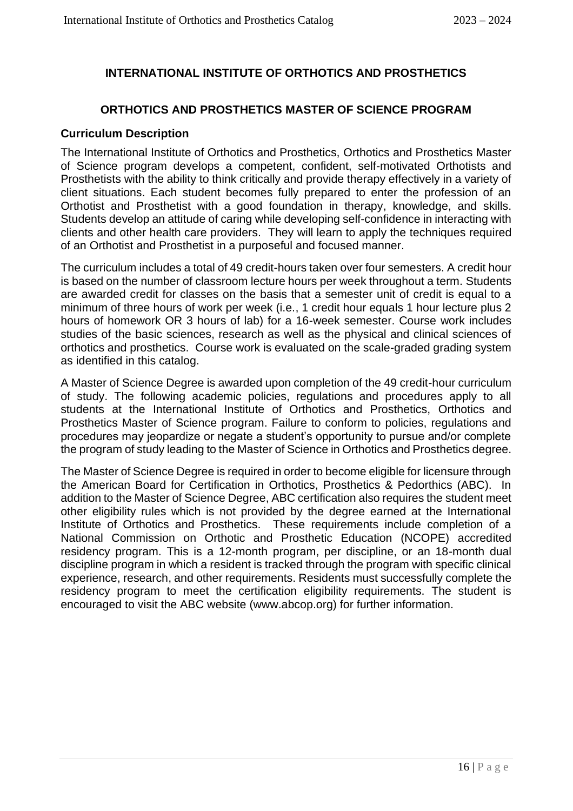### **INTERNATIONAL INSTITUTE OF ORTHOTICS AND PROSTHETICS**

#### **ORTHOTICS AND PROSTHETICS MASTER OF SCIENCE PROGRAM**

#### **Curriculum Description**

The International Institute of Orthotics and Prosthetics, Orthotics and Prosthetics Master of Science program develops a competent, confident, self-motivated Orthotists and Prosthetists with the ability to think critically and provide therapy effectively in a variety of client situations. Each student becomes fully prepared to enter the profession of an Orthotist and Prosthetist with a good foundation in therapy, knowledge, and skills. Students develop an attitude of caring while developing self-confidence in interacting with clients and other health care providers. They will learn to apply the techniques required of an Orthotist and Prosthetist in a purposeful and focused manner.

The curriculum includes a total of 49 credit-hours taken over four semesters. A credit hour is based on the number of classroom lecture hours per week throughout a term. Students are awarded credit for classes on the basis that a semester unit of credit is equal to a minimum of three hours of work per week (i.e., 1 credit hour equals 1 hour lecture plus 2 hours of homework OR 3 hours of lab) for a 16-week semester. Course work includes studies of the basic sciences, research as well as the physical and clinical sciences of orthotics and prosthetics. Course work is evaluated on the scale-graded grading system as identified in this catalog.

A Master of Science Degree is awarded upon completion of the 49 credit-hour curriculum of study. The following academic policies, regulations and procedures apply to all students at the International Institute of Orthotics and Prosthetics, Orthotics and Prosthetics Master of Science program. Failure to conform to policies, regulations and procedures may jeopardize or negate a student's opportunity to pursue and/or complete the program of study leading to the Master of Science in Orthotics and Prosthetics degree.

The Master of Science Degree is required in order to become eligible for licensure through the American Board for Certification in Orthotics, Prosthetics & Pedorthics (ABC). In addition to the Master of Science Degree, ABC certification also requires the student meet other eligibility rules which is not provided by the degree earned at the International Institute of Orthotics and Prosthetics. These requirements include completion of a National Commission on Orthotic and Prosthetic Education (NCOPE) accredited residency program. This is a 12-month program, per discipline, or an 18-month dual discipline program in which a resident is tracked through the program with specific clinical experience, research, and other requirements. Residents must successfully complete the residency program to meet the certification eligibility requirements. The student is encouraged to visit the ABC website (www.abcop.org) for further information.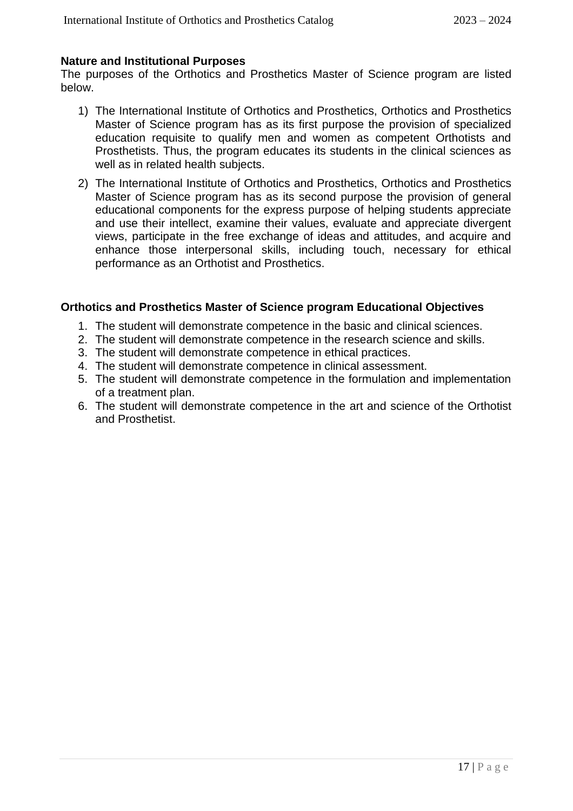#### **Nature and Institutional Purposes**

The purposes of the Orthotics and Prosthetics Master of Science program are listed below.

- 1) The International Institute of Orthotics and Prosthetics, Orthotics and Prosthetics Master of Science program has as its first purpose the provision of specialized education requisite to qualify men and women as competent Orthotists and Prosthetists. Thus, the program educates its students in the clinical sciences as well as in related health subjects.
- 2) The International Institute of Orthotics and Prosthetics, Orthotics and Prosthetics Master of Science program has as its second purpose the provision of general educational components for the express purpose of helping students appreciate and use their intellect, examine their values, evaluate and appreciate divergent views, participate in the free exchange of ideas and attitudes, and acquire and enhance those interpersonal skills, including touch, necessary for ethical performance as an Orthotist and Prosthetics.

#### **Orthotics and Prosthetics Master of Science program Educational Objectives**

- 1. The student will demonstrate competence in the basic and clinical sciences.
- 2. The student will demonstrate competence in the research science and skills.
- 3. The student will demonstrate competence in ethical practices.
- 4. The student will demonstrate competence in clinical assessment.
- 5. The student will demonstrate competence in the formulation and implementation of a treatment plan.
- 6. The student will demonstrate competence in the art and science of the Orthotist and Prosthetist.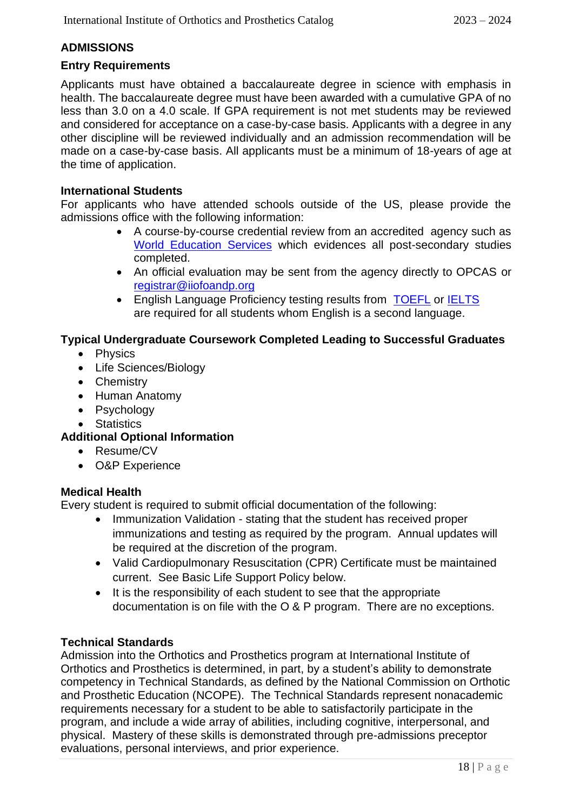### **ADMISSIONS**

#### **Entry Requirements**

Applicants must have obtained a baccalaureate degree in science with emphasis in health. The baccalaureate degree must have been awarded with a cumulative GPA of no less than 3.0 on a 4.0 scale. If GPA requirement is not met students may be reviewed and considered for acceptance on a case-by-case basis. Applicants with a degree in any other discipline will be reviewed individually and an admission recommendation will be made on a case-by-case basis. All applicants must be a minimum of 18-years of age at the time of application.

#### **International Students**

For applicants who have attended schools outside of the US, please provide the admissions office with the following information:

- A course-by-course credential review from an accredited agency such as [World Education Services](https://www.wes.org/) which evidences all post-secondary studies completed.
- An official evaluation may be sent from the agency directly to OPCAS or [registrar@iiofoandp.org](mailto:registrar@iiofoandp.org)
- English Language Proficiency testing results from [TOEFL](https://www.ets.org/toefl/test-takers/) or [IELTS](https://www.ielts.org/en-us/for-test-takers/book-a-test) are required for all students whom English is a second language.

### **Typical Undergraduate Coursework Completed Leading to Successful Graduates**

- Physics
- Life Sciences/Biology
- Chemistry
- Human Anatomy
- Psychology
- Statistics

### **Additional Optional Information**

- Resume/CV
- O&P Experience

#### **Medical Health**

Every student is required to submit official documentation of the following:

- Immunization Validation stating that the student has received proper immunizations and testing as required by the program. Annual updates will be required at the discretion of the program.
- Valid Cardiopulmonary Resuscitation (CPR) Certificate must be maintained current. See Basic Life Support Policy below.
- It is the responsibility of each student to see that the appropriate documentation is on file with the O & P program. There are no exceptions.

#### **Technical Standards**

Admission into the Orthotics and Prosthetics program at International Institute of Orthotics and Prosthetics is determined, in part, by a student's ability to demonstrate competency in Technical Standards, as defined by the National Commission on Orthotic and Prosthetic Education (NCOPE). The Technical Standards represent nonacademic requirements necessary for a student to be able to satisfactorily participate in the program, and include a wide array of abilities, including cognitive, interpersonal, and physical. Mastery of these skills is demonstrated through pre-admissions preceptor evaluations, personal interviews, and prior experience.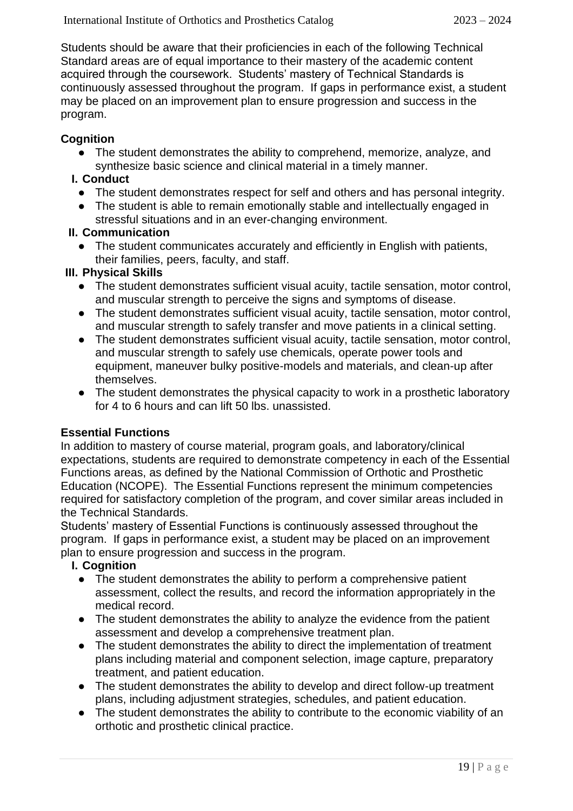Students should be aware that their proficiencies in each of the following Technical Standard areas are of equal importance to their mastery of the academic content acquired through the coursework. Students' mastery of Technical Standards is continuously assessed throughout the program. If gaps in performance exist, a student may be placed on an improvement plan to ensure progression and success in the program.

### **Cognition**

• The student demonstrates the ability to comprehend, memorize, analyze, and synthesize basic science and clinical material in a timely manner.

#### **I. Conduct**

- The student demonstrates respect for self and others and has personal integrity.
- The student is able to remain emotionally stable and intellectually engaged in stressful situations and in an ever-changing environment.

#### **II. Communication**

● The student communicates accurately and efficiently in English with patients, their families, peers, faculty, and staff.

#### **III. Physical Skills**

- The student demonstrates sufficient visual acuity, tactile sensation, motor control, and muscular strength to perceive the signs and symptoms of disease.
- The student demonstrates sufficient visual acuity, tactile sensation, motor control, and muscular strength to safely transfer and move patients in a clinical setting.
- The student demonstrates sufficient visual acuity, tactile sensation, motor control, and muscular strength to safely use chemicals, operate power tools and equipment, maneuver bulky positive-models and materials, and clean-up after themselves.
- The student demonstrates the physical capacity to work in a prosthetic laboratory for 4 to 6 hours and can lift 50 lbs. unassisted.

#### **Essential Functions**

In addition to mastery of course material, program goals, and laboratory/clinical expectations, students are required to demonstrate competency in each of the Essential Functions areas, as defined by the National Commission of Orthotic and Prosthetic Education (NCOPE). The Essential Functions represent the minimum competencies required for satisfactory completion of the program, and cover similar areas included in the Technical Standards.

Students' mastery of Essential Functions is continuously assessed throughout the program. If gaps in performance exist, a student may be placed on an improvement plan to ensure progression and success in the program.

#### **I. Cognition**

- The student demonstrates the ability to perform a comprehensive patient assessment, collect the results, and record the information appropriately in the medical record.
- The student demonstrates the ability to analyze the evidence from the patient assessment and develop a comprehensive treatment plan.
- The student demonstrates the ability to direct the implementation of treatment plans including material and component selection, image capture, preparatory treatment, and patient education.
- The student demonstrates the ability to develop and direct follow-up treatment plans, including adjustment strategies, schedules, and patient education.
- The student demonstrates the ability to contribute to the economic viability of an orthotic and prosthetic clinical practice.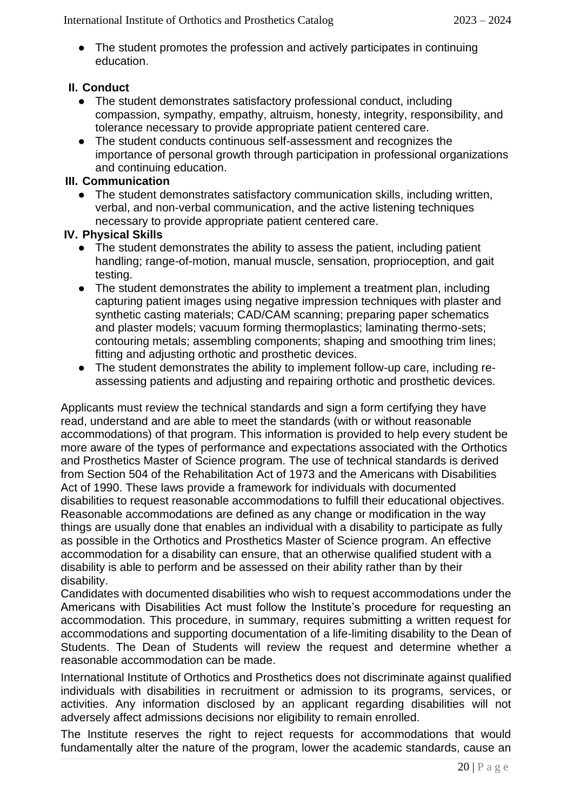● The student promotes the profession and actively participates in continuing education.

#### **II. Conduct**

- The student demonstrates satisfactory professional conduct, including compassion, sympathy, empathy, altruism, honesty, integrity, responsibility, and tolerance necessary to provide appropriate patient centered care.
- The student conducts continuous self-assessment and recognizes the importance of personal growth through participation in professional organizations and continuing education.

#### **III. Communication**

● The student demonstrates satisfactory communication skills, including written, verbal, and non-verbal communication, and the active listening techniques necessary to provide appropriate patient centered care.

#### **IV. Physical Skills**

- The student demonstrates the ability to assess the patient, including patient handling; range-of-motion, manual muscle, sensation, proprioception, and gait testing.
- The student demonstrates the ability to implement a treatment plan, including capturing patient images using negative impression techniques with plaster and synthetic casting materials; CAD/CAM scanning; preparing paper schematics and plaster models; vacuum forming thermoplastics; laminating thermo-sets; contouring metals; assembling components; shaping and smoothing trim lines; fitting and adjusting orthotic and prosthetic devices.
- The student demonstrates the ability to implement follow-up care, including reassessing patients and adjusting and repairing orthotic and prosthetic devices.

Applicants must review the technical standards and sign a form certifying they have read, understand and are able to meet the standards (with or without reasonable accommodations) of that program. This information is provided to help every student be more aware of the types of performance and expectations associated with the Orthotics and Prosthetics Master of Science program. The use of technical standards is derived from Section 504 of the Rehabilitation Act of 1973 and the Americans with Disabilities Act of 1990. These laws provide a framework for individuals with documented disabilities to request reasonable accommodations to fulfill their educational objectives. Reasonable accommodations are defined as any change or modification in the way things are usually done that enables an individual with a disability to participate as fully as possible in the Orthotics and Prosthetics Master of Science program. An effective accommodation for a disability can ensure, that an otherwise qualified student with a disability is able to perform and be assessed on their ability rather than by their disability.

Candidates with documented disabilities who wish to request accommodations under the Americans with Disabilities Act must follow the Institute's procedure for requesting an accommodation. This procedure, in summary, requires submitting a written request for accommodations and supporting documentation of a life-limiting disability to the Dean of Students. The Dean of Students will review the request and determine whether a reasonable accommodation can be made.

International Institute of Orthotics and Prosthetics does not discriminate against qualified individuals with disabilities in recruitment or admission to its programs, services, or activities. Any information disclosed by an applicant regarding disabilities will not adversely affect admissions decisions nor eligibility to remain enrolled.

The Institute reserves the right to reject requests for accommodations that would fundamentally alter the nature of the program, lower the academic standards, cause an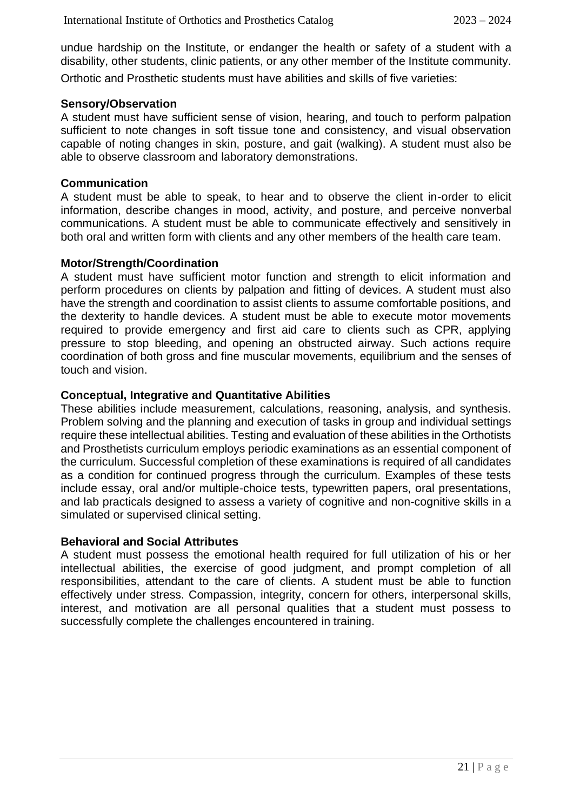undue hardship on the Institute, or endanger the health or safety of a student with a disability, other students, clinic patients, or any other member of the Institute community. Orthotic and Prosthetic students must have abilities and skills of five varieties:

#### **Sensory/Observation**

A student must have sufficient sense of vision, hearing, and touch to perform palpation sufficient to note changes in soft tissue tone and consistency, and visual observation capable of noting changes in skin, posture, and gait (walking). A student must also be able to observe classroom and laboratory demonstrations.

#### **Communication**

A student must be able to speak, to hear and to observe the client in-order to elicit information, describe changes in mood, activity, and posture, and perceive nonverbal communications. A student must be able to communicate effectively and sensitively in both oral and written form with clients and any other members of the health care team.

#### **Motor/Strength/Coordination**

A student must have sufficient motor function and strength to elicit information and perform procedures on clients by palpation and fitting of devices. A student must also have the strength and coordination to assist clients to assume comfortable positions, and the dexterity to handle devices. A student must be able to execute motor movements required to provide emergency and first aid care to clients such as CPR, applying pressure to stop bleeding, and opening an obstructed airway. Such actions require coordination of both gross and fine muscular movements, equilibrium and the senses of touch and vision.

#### **Conceptual, Integrative and Quantitative Abilities**

These abilities include measurement, calculations, reasoning, analysis, and synthesis. Problem solving and the planning and execution of tasks in group and individual settings require these intellectual abilities. Testing and evaluation of these abilities in the Orthotists and Prosthetists curriculum employs periodic examinations as an essential component of the curriculum. Successful completion of these examinations is required of all candidates as a condition for continued progress through the curriculum. Examples of these tests include essay, oral and/or multiple-choice tests, typewritten papers, oral presentations, and lab practicals designed to assess a variety of cognitive and non-cognitive skills in a simulated or supervised clinical setting.

#### **Behavioral and Social Attributes**

A student must possess the emotional health required for full utilization of his or her intellectual abilities, the exercise of good judgment, and prompt completion of all responsibilities, attendant to the care of clients. A student must be able to function effectively under stress. Compassion, integrity, concern for others, interpersonal skills, interest, and motivation are all personal qualities that a student must possess to successfully complete the challenges encountered in training.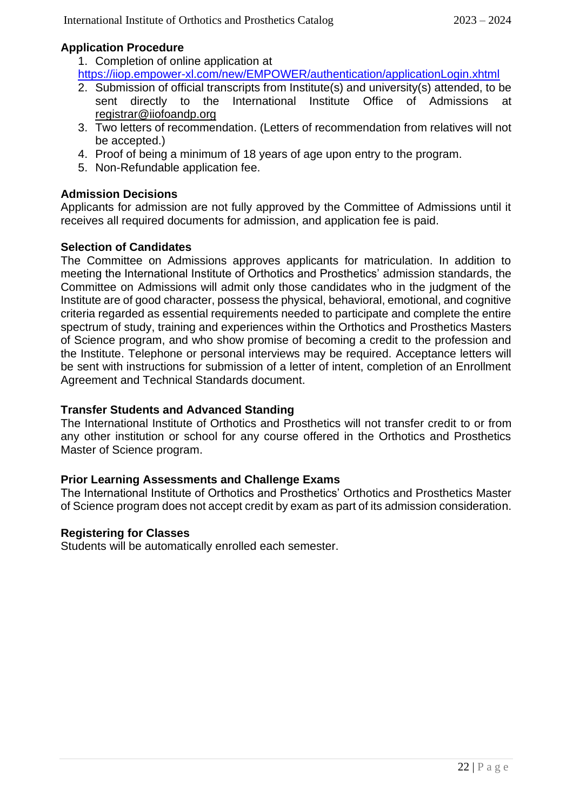#### **Application Procedure**

1. Completion of online application at

<https://iiop.empower-xl.com/new/EMPOWER/authentication/applicationLogin.xhtml>

- 2. Submission of official transcripts from Institute(s) and university(s) attended, to be sent directly to the International Institute Office of Admissions at [registrar@iiofoandp.org](mailto:registrar@iiofoandp.org)
- 3. Two letters of recommendation. (Letters of recommendation from relatives will not be accepted.)
- 4. Proof of being a minimum of 18 years of age upon entry to the program.
- 5. Non-Refundable application fee.

#### **Admission Decisions**

Applicants for admission are not fully approved by the Committee of Admissions until it receives all required documents for admission, and application fee is paid.

#### **Selection of Candidates**

The Committee on Admissions approves applicants for matriculation. In addition to meeting the International Institute of Orthotics and Prosthetics' admission standards, the Committee on Admissions will admit only those candidates who in the judgment of the Institute are of good character, possess the physical, behavioral, emotional, and cognitive criteria regarded as essential requirements needed to participate and complete the entire spectrum of study, training and experiences within the Orthotics and Prosthetics Masters of Science program, and who show promise of becoming a credit to the profession and the Institute. Telephone or personal interviews may be required. Acceptance letters will be sent with instructions for submission of a letter of intent, completion of an Enrollment Agreement and Technical Standards document.

#### **Transfer Students and Advanced Standing**

The International Institute of Orthotics and Prosthetics will not transfer credit to or from any other institution or school for any course offered in the Orthotics and Prosthetics Master of Science program.

#### **Prior Learning Assessments and Challenge Exams**

The International Institute of Orthotics and Prosthetics' Orthotics and Prosthetics Master of Science program does not accept credit by exam as part of its admission consideration.

#### **Registering for Classes**

Students will be automatically enrolled each semester.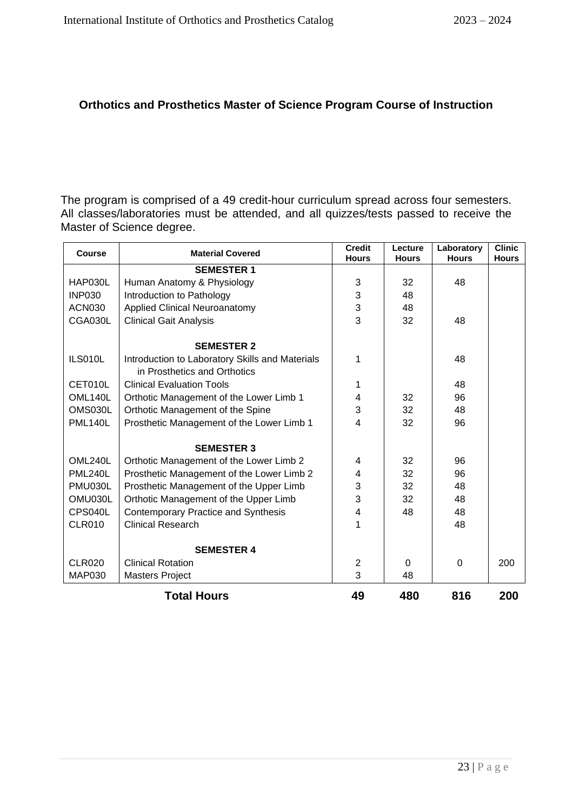#### **Orthotics and Prosthetics Master of Science Program Course of Instruction**

The program is comprised of a 49 credit-hour curriculum spread across four semesters. All classes/laboratories must be attended, and all quizzes/tests passed to receive the Master of Science degree.

| <b>Course</b>  | <b>Material Covered</b>                         | <b>Credit</b><br><b>Hours</b> | Lecture<br><b>Hours</b> | Laboratory<br><b>Hours</b> | <b>Clinic</b><br><b>Hours</b> |
|----------------|-------------------------------------------------|-------------------------------|-------------------------|----------------------------|-------------------------------|
|                | <b>SEMESTER 1</b>                               |                               |                         |                            |                               |
| HAP030L        | Human Anatomy & Physiology                      | 3                             | 32                      | 48                         |                               |
| <b>INP030</b>  | Introduction to Pathology                       | 3                             | 48                      |                            |                               |
| <b>ACN030</b>  | <b>Applied Clinical Neuroanatomy</b>            | 3                             | 48                      |                            |                               |
| CGA030L        | <b>Clinical Gait Analysis</b>                   | 3                             | 32                      | 48                         |                               |
|                | <b>SEMESTER 2</b>                               |                               |                         |                            |                               |
| ILS010L        | Introduction to Laboratory Skills and Materials | 1                             |                         | 48                         |                               |
|                | in Prosthetics and Orthotics                    |                               |                         |                            |                               |
| CET010L        | <b>Clinical Evaluation Tools</b>                | 1                             |                         | 48                         |                               |
| OML140L        | Orthotic Management of the Lower Limb 1         | 4                             | 32                      | 96                         |                               |
| OMS030L        | Orthotic Management of the Spine                | 3                             | 32                      | 48                         |                               |
| <b>PML140L</b> | Prosthetic Management of the Lower Limb 1       | 4                             | 32                      | 96                         |                               |
|                | <b>SEMESTER 3</b>                               |                               |                         |                            |                               |
| OML240L        | Orthotic Management of the Lower Limb 2         |                               | 32                      | 96                         |                               |
| <b>PML240L</b> | Prosthetic Management of the Lower Limb 2       |                               | 32                      | 96                         |                               |
| PMU030L        | Prosthetic Management of the Upper Limb         |                               | 32                      | 48                         |                               |
| OMU030L        | Orthotic Management of the Upper Limb           |                               | 32                      | 48                         |                               |
| CPS040L        | <b>Contemporary Practice and Synthesis</b>      | $\overline{4}$                | 48                      | 48                         |                               |
| <b>CLR010</b>  | <b>Clinical Research</b>                        | 1                             |                         | 48                         |                               |
|                | <b>SEMESTER 4</b>                               |                               |                         |                            |                               |
| CLR020         | <b>Clinical Rotation</b>                        | $\overline{2}$                | $\Omega$                | $\Omega$                   | 200                           |
| <b>MAP030</b>  | <b>Masters Project</b>                          | 3                             | 48                      |                            |                               |
|                | <b>Total Hours</b>                              | 49                            | 480                     | 816                        | 200                           |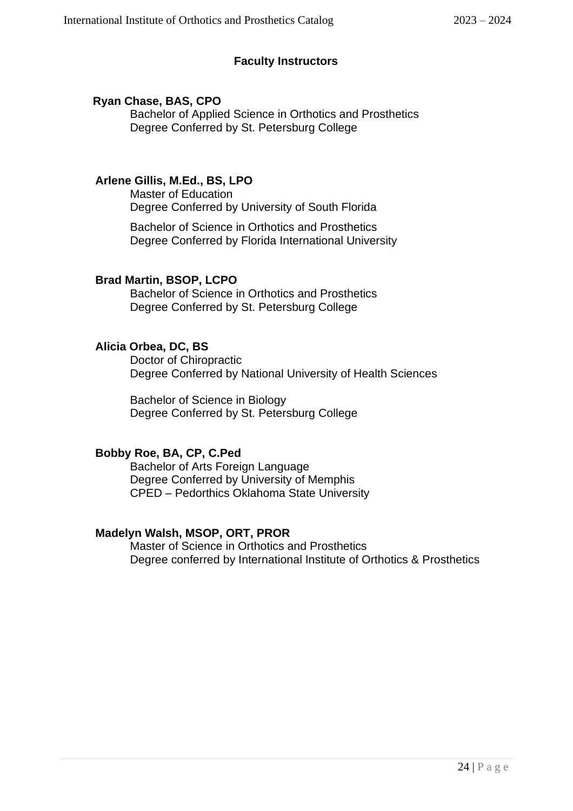#### **Faculty Instructors**

#### **Ryan Chase, BAS, CPO**

Bachelor of Applied Science in Orthotics and Prosthetics Degree Conferred by St. Petersburg College

#### **Arlene Gillis, M.Ed., BS, LPO**

Master of Education Degree Conferred by University of South Florida

Bachelor of Science in Orthotics and Prosthetics Degree Conferred by Florida International University

#### **Brad Martin, BSOP, LCPO**

Bachelor of Science in Orthotics and Prosthetics Degree Conferred by St. Petersburg College

#### **Alicia Orbea, DC, BS**

Doctor of Chiropractic Degree Conferred by National University of Health Sciences

Bachelor of Science in Biology Degree Conferred by St. Petersburg College

#### **Bobby Roe, BA, CP, C.Ped**

Bachelor of Arts Foreign Language Degree Conferred by University of Memphis CPED – Pedorthics Oklahoma State University

#### **Madelyn Walsh, MSOP, ORT, PROR**

Master of Science in Orthotics and Prosthetics Degree conferred by International Institute of Orthotics & Prosthetics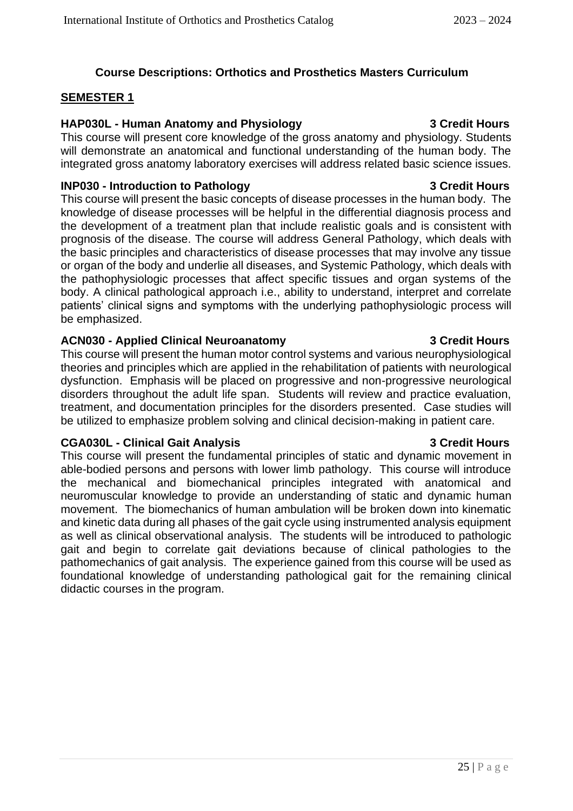#### **Course Descriptions: Orthotics and Prosthetics Masters Curriculum**

#### **SEMESTER 1**

#### **HAP030L - Human Anatomy and Physiology 3 Credit Hours**

This course will present core knowledge of the gross anatomy and physiology. Students will demonstrate an anatomical and functional understanding of the human body. The integrated gross anatomy laboratory exercises will address related basic science issues.

#### **INP030 - Introduction to Pathology 3 Credit Hours**

This course will present the basic concepts of disease processes in the human body. The knowledge of disease processes will be helpful in the differential diagnosis process and the development of a treatment plan that include realistic goals and is consistent with prognosis of the disease. The course will address General Pathology, which deals with the basic principles and characteristics of disease processes that may involve any tissue or organ of the body and underlie all diseases, and Systemic Pathology, which deals with the pathophysiologic processes that affect specific tissues and organ systems of the body. A clinical pathological approach i.e., ability to understand, interpret and correlate patients' clinical signs and symptoms with the underlying pathophysiologic process will be emphasized.

#### **ACN030 - Applied Clinical Neuroanatomy 3 Credit Hours**

This course will present the human motor control systems and various neurophysiological theories and principles which are applied in the rehabilitation of patients with neurological dysfunction. Emphasis will be placed on progressive and non-progressive neurological disorders throughout the adult life span. Students will review and practice evaluation, treatment, and documentation principles for the disorders presented. Case studies will be utilized to emphasize problem solving and clinical decision-making in patient care.

#### **CGA030L - Clinical Gait Analysis 3 Credit Hours**

This course will present the fundamental principles of static and dynamic movement in able-bodied persons and persons with lower limb pathology. This course will introduce the mechanical and biomechanical principles integrated with anatomical and neuromuscular knowledge to provide an understanding of static and dynamic human movement. The biomechanics of human ambulation will be broken down into kinematic and kinetic data during all phases of the gait cycle using instrumented analysis equipment as well as clinical observational analysis. The students will be introduced to pathologic gait and begin to correlate gait deviations because of clinical pathologies to the pathomechanics of gait analysis. The experience gained from this course will be used as foundational knowledge of understanding pathological gait for the remaining clinical didactic courses in the program.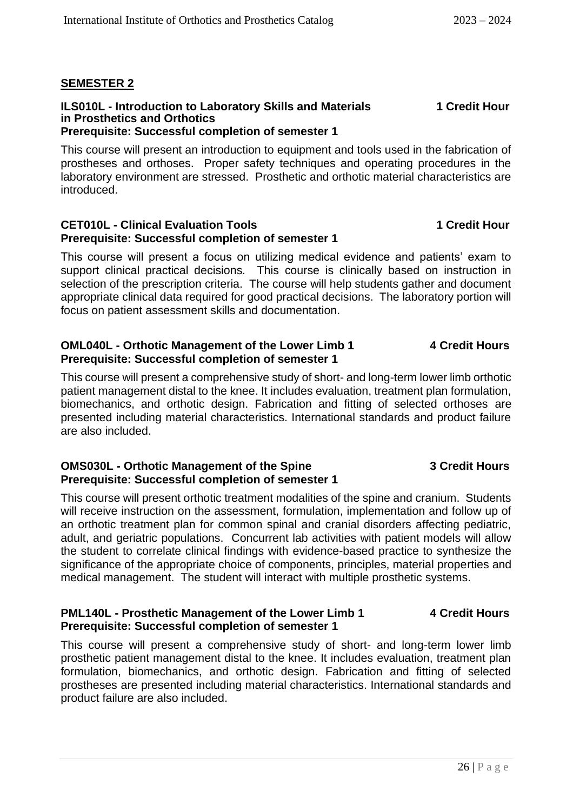#### **SEMESTER 2**

#### **ILS010L - Introduction to Laboratory Skills and Materials 1 Credit Hour in Prosthetics and Orthotics Prerequisite: Successful completion of semester 1**

#### This course will present an introduction to equipment and tools used in the fabrication of prostheses and orthoses. Proper safety techniques and operating procedures in the laboratory environment are stressed. Prosthetic and orthotic material characteristics are introduced.

#### **CET010L - Clinical Evaluation Tools 1 Credit Hour Prerequisite: Successful completion of semester 1**

This course will present a focus on utilizing medical evidence and patients' exam to support clinical practical decisions. This course is clinically based on instruction in selection of the prescription criteria. The course will help students gather and document appropriate clinical data required for good practical decisions. The laboratory portion will focus on patient assessment skills and documentation.

#### **OML040L - Orthotic Management of the Lower Limb 1 4 Credit Hours Prerequisite: Successful completion of semester 1**

This course will present a comprehensive study of short- and long-term lower limb orthotic patient management distal to the knee. It includes evaluation, treatment plan formulation, biomechanics, and orthotic design. Fabrication and fitting of selected orthoses are presented including material characteristics. International standards and product failure are also included.

#### **OMS030L - Orthotic Management of the Spine 3 Credit Hours Prerequisite: Successful completion of semester 1**

This course will present orthotic treatment modalities of the spine and cranium. Students will receive instruction on the assessment, formulation, implementation and follow up of an orthotic treatment plan for common spinal and cranial disorders affecting pediatric, adult, and geriatric populations. Concurrent lab activities with patient models will allow the student to correlate clinical findings with evidence-based practice to synthesize the significance of the appropriate choice of components, principles, material properties and medical management. The student will interact with multiple prosthetic systems.

#### **PML140L - Prosthetic Management of the Lower Limb 1 4 Credit Hours Prerequisite: Successful completion of semester 1**

This course will present a comprehensive study of short- and long-term lower limb prosthetic patient management distal to the knee. It includes evaluation, treatment plan formulation, biomechanics, and orthotic design. Fabrication and fitting of selected prostheses are presented including material characteristics. International standards and product failure are also included.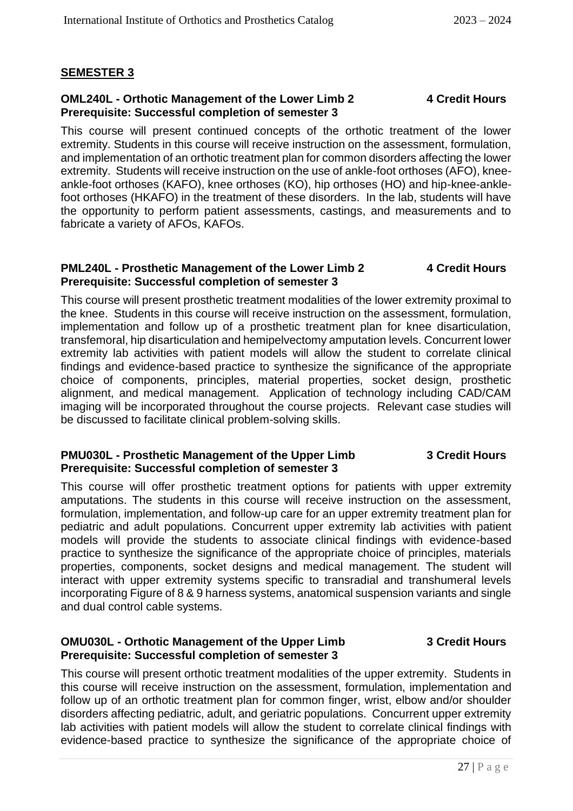#### **SEMESTER 3**

#### **OML240L - Orthotic Management of the Lower Limb 2 4 Credit Hours Prerequisite: Successful completion of semester 3**

This course will present continued concepts of the orthotic treatment of the lower extremity. Students in this course will receive instruction on the assessment, formulation, and implementation of an orthotic treatment plan for common disorders affecting the lower extremity. Students will receive instruction on the use of ankle-foot orthoses (AFO), kneeankle-foot orthoses (KAFO), knee orthoses (KO), hip orthoses (HO) and hip-knee-anklefoot orthoses (HKAFO) in the treatment of these disorders. In the lab, students will have the opportunity to perform patient assessments, castings, and measurements and to fabricate a variety of AFOs, KAFOs.

#### **PML240L - Prosthetic Management of the Lower Limb 2 4 Credit Hours Prerequisite: Successful completion of semester 3**

This course will present prosthetic treatment modalities of the lower extremity proximal to the knee. Students in this course will receive instruction on the assessment, formulation, implementation and follow up of a prosthetic treatment plan for knee disarticulation, transfemoral, hip disarticulation and hemipelvectomy amputation levels. Concurrent lower extremity lab activities with patient models will allow the student to correlate clinical findings and evidence-based practice to synthesize the significance of the appropriate choice of components, principles, material properties, socket design, prosthetic alignment, and medical management. Application of technology including CAD/CAM imaging will be incorporated throughout the course projects. Relevant case studies will be discussed to facilitate clinical problem-solving skills.

#### **PMU030L - Prosthetic Management of the Upper Limb 3 Credit Hours Prerequisite: Successful completion of semester 3**

This course will offer prosthetic treatment options for patients with upper extremity amputations. The students in this course will receive instruction on the assessment, formulation, implementation, and follow-up care for an upper extremity treatment plan for pediatric and adult populations. Concurrent upper extremity lab activities with patient models will provide the students to associate clinical findings with evidence-based practice to synthesize the significance of the appropriate choice of principles, materials properties, components, socket designs and medical management. The student will interact with upper extremity systems specific to transradial and transhumeral levels incorporating Figure of 8 & 9 harness systems, anatomical suspension variants and single and dual control cable systems.

#### **OMU030L - Orthotic Management of the Upper Limb 3 Credit Hours Prerequisite: Successful completion of semester 3**

This course will present orthotic treatment modalities of the upper extremity. Students in this course will receive instruction on the assessment, formulation, implementation and follow up of an orthotic treatment plan for common finger, wrist, elbow and/or shoulder disorders affecting pediatric, adult, and geriatric populations. Concurrent upper extremity lab activities with patient models will allow the student to correlate clinical findings with evidence-based practice to synthesize the significance of the appropriate choice of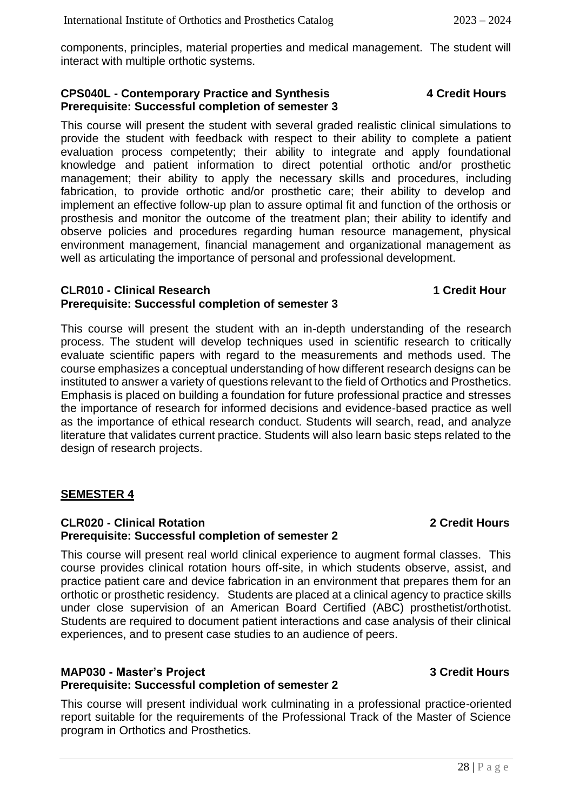components, principles, material properties and medical management. The student will interact with multiple orthotic systems.

#### **CPS040L - Contemporary Practice and Synthesis 4 Credit Hours Prerequisite: Successful completion of semester 3**

This course will present the student with several graded realistic clinical simulations to provide the student with feedback with respect to their ability to complete a patient evaluation process competently; their ability to integrate and apply foundational knowledge and patient information to direct potential orthotic and/or prosthetic management; their ability to apply the necessary skills and procedures, including fabrication, to provide orthotic and/or prosthetic care; their ability to develop and implement an effective follow-up plan to assure optimal fit and function of the orthosis or prosthesis and monitor the outcome of the treatment plan; their ability to identify and observe policies and procedures regarding human resource management, physical environment management, financial management and organizational management as well as articulating the importance of personal and professional development.

#### **CLR010 - Clinical Research 1 Credit Hour Prerequisite: Successful completion of semester 3**

This course will present the student with an in-depth understanding of the research process. The student will develop techniques used in scientific research to critically evaluate scientific papers with regard to the measurements and methods used. The course emphasizes a conceptual understanding of how different research designs can be instituted to answer a variety of questions relevant to the field of Orthotics and Prosthetics. Emphasis is placed on building a foundation for future professional practice and stresses the importance of research for informed decisions and evidence-based practice as well as the importance of ethical research conduct. Students will search, read, and analyze literature that validates current practice. Students will also learn basic steps related to the design of research projects.

### **SEMESTER 4**

#### **CLR020 - Clinical Rotation 2 Credit Hours Prerequisite: Successful completion of semester 2**

This course will present real world clinical experience to augment formal classes. This course provides clinical rotation hours off-site, in which students observe, assist, and practice patient care and device fabrication in an environment that prepares them for an orthotic or prosthetic residency. Students are placed at a clinical agency to practice skills under close supervision of an American Board Certified (ABC) prosthetist/orthotist. Students are required to document patient interactions and case analysis of their clinical experiences, and to present case studies to an audience of peers.

#### **MAP030 - Master's Project 3 Credit Hours Prerequisite: Successful completion of semester 2**

This course will present individual work culminating in a professional practice-oriented report suitable for the requirements of the Professional Track of the Master of Science program in Orthotics and Prosthetics.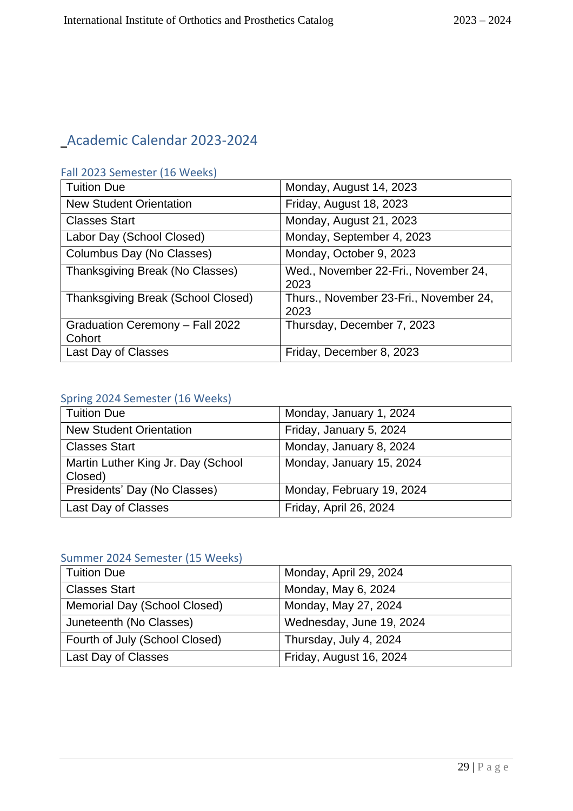## Academic Calendar 2023-2024

#### Fall 2023 Semester (16 Weeks)

| <b>Tuition Due</b>                        | Monday, August 14, 2023                        |
|-------------------------------------------|------------------------------------------------|
| <b>New Student Orientation</b>            | Friday, August 18, 2023                        |
| <b>Classes Start</b>                      | Monday, August 21, 2023                        |
| Labor Day (School Closed)                 | Monday, September 4, 2023                      |
| Columbus Day (No Classes)                 | Monday, October 9, 2023                        |
| Thanksgiving Break (No Classes)           | Wed., November 22-Fri., November 24,<br>2023   |
| <b>Thanksgiving Break (School Closed)</b> | Thurs., November 23-Fri., November 24,<br>2023 |
| Graduation Ceremony - Fall 2022<br>Cohort | Thursday, December 7, 2023                     |
| Last Day of Classes                       | Friday, December 8, 2023                       |

### Spring 2024 Semester (16 Weeks)

| <b>Tuition Due</b>                            | Monday, January 1, 2024   |
|-----------------------------------------------|---------------------------|
| <b>New Student Orientation</b>                | Friday, January 5, 2024   |
| <b>Classes Start</b>                          | Monday, January 8, 2024   |
| Martin Luther King Jr. Day (School<br>Closed) | Monday, January 15, 2024  |
| Presidents' Day (No Classes)                  | Monday, February 19, 2024 |
| Last Day of Classes                           | Friday, April 26, 2024    |

### Summer 2024 Semester (15 Weeks)

| <b>Tuition Due</b>             | Monday, April 29, 2024   |
|--------------------------------|--------------------------|
| <b>Classes Start</b>           | Monday, May 6, 2024      |
| Memorial Day (School Closed)   | Monday, May 27, 2024     |
| Juneteenth (No Classes)        | Wednesday, June 19, 2024 |
| Fourth of July (School Closed) | Thursday, July 4, 2024   |
| Last Day of Classes            | Friday, August 16, 2024  |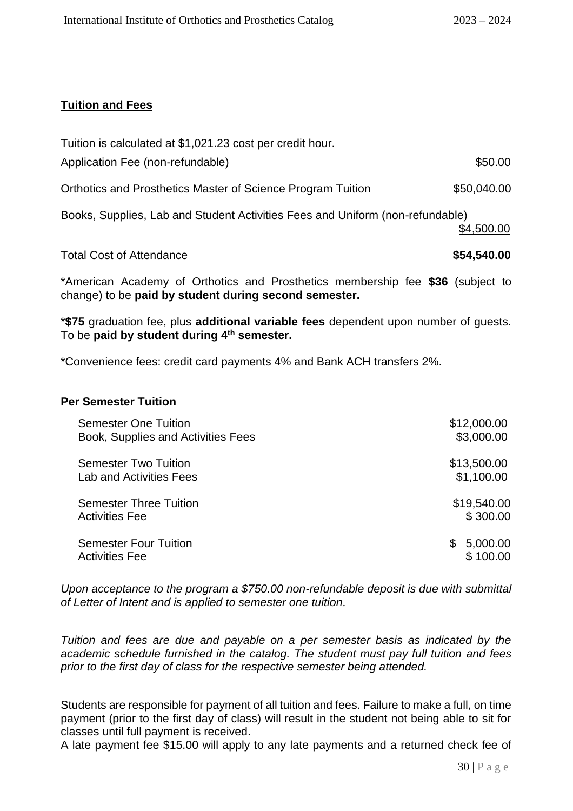#### **Tuition and Fees**

| <b>Total Cost of Attendance</b>                                               | \$54,540.00 |
|-------------------------------------------------------------------------------|-------------|
| Books, Supplies, Lab and Student Activities Fees and Uniform (non-refundable) | \$4,500.00  |
| <b>Orthotics and Prosthetics Master of Science Program Tuition</b>            | \$50,040.00 |
| Application Fee (non-refundable)                                              | \$50.00     |
| Tuition is calculated at \$1,021.23 cost per credit hour.                     |             |

\*American Academy of Orthotics and Prosthetics membership fee **\$36** (subject to change) to be **paid by student during second semester.** 

\***\$75** graduation fee, plus **additional variable fees** dependent upon number of guests. To be **paid by student during 4th semester.**

\*Convenience fees: credit card payments 4% and Bank ACH transfers 2%.

#### **Per Semester Tuition**

| <b>Semester One Tuition</b>                           | \$12,000.00                |
|-------------------------------------------------------|----------------------------|
| Book, Supplies and Activities Fees                    | \$3,000.00                 |
| <b>Semester Two Tuition</b>                           | \$13,500.00                |
| Lab and Activities Fees                               | \$1,100.00                 |
| <b>Semester Three Tuition</b>                         | \$19,540.00                |
| <b>Activities Fee</b>                                 | \$300.00                   |
| <b>Semester Four Tuition</b><br><b>Activities Fee</b> | 5,000.00<br>S.<br>\$100.00 |

*Upon acceptance to the program a \$750.00 non-refundable deposit is due with submittal of Letter of Intent and is applied to semester one tuition.*

*Tuition and fees are due and payable on a per semester basis as indicated by the academic schedule furnished in the catalog. The student must pay full tuition and fees prior to the first day of class for the respective semester being attended.* 

Students are responsible for payment of all tuition and fees. Failure to make a full, on time payment (prior to the first day of class) will result in the student not being able to sit for classes until full payment is received.

A late payment fee \$15.00 will apply to any late payments and a returned check fee of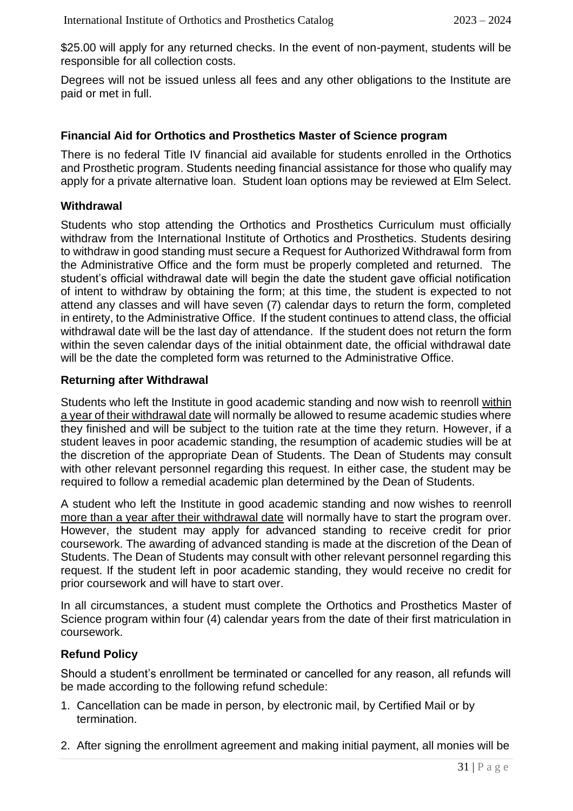\$25.00 will apply for any returned checks. In the event of non-payment, students will be responsible for all collection costs.

Degrees will not be issued unless all fees and any other obligations to the Institute are paid or met in full.

#### **Financial Aid for Orthotics and Prosthetics Master of Science program**

There is no federal Title IV financial aid available for students enrolled in the Orthotics and Prosthetic program. Students needing financial assistance for those who qualify may apply for a private alternative loan. Student loan options may be reviewed at Elm Select.

#### **Withdrawal**

Students who stop attending the Orthotics and Prosthetics Curriculum must officially withdraw from the International Institute of Orthotics and Prosthetics. Students desiring to withdraw in good standing must secure a Request for Authorized Withdrawal form from the Administrative Office and the form must be properly completed and returned. The student's official withdrawal date will begin the date the student gave official notification of intent to withdraw by obtaining the form; at this time, the student is expected to not attend any classes and will have seven (7) calendar days to return the form, completed in entirety, to the Administrative Office. If the student continues to attend class, the official withdrawal date will be the last day of attendance. If the student does not return the form within the seven calendar days of the initial obtainment date, the official withdrawal date will be the date the completed form was returned to the Administrative Office.

#### **Returning after Withdrawal**

Students who left the Institute in good academic standing and now wish to reenroll within a year of their withdrawal date will normally be allowed to resume academic studies where they finished and will be subject to the tuition rate at the time they return. However, if a student leaves in poor academic standing, the resumption of academic studies will be at the discretion of the appropriate Dean of Students. The Dean of Students may consult with other relevant personnel regarding this request. In either case, the student may be required to follow a remedial academic plan determined by the Dean of Students.

A student who left the Institute in good academic standing and now wishes to reenroll more than a year after their withdrawal date will normally have to start the program over. However, the student may apply for advanced standing to receive credit for prior coursework. The awarding of advanced standing is made at the discretion of the Dean of Students. The Dean of Students may consult with other relevant personnel regarding this request. If the student left in poor academic standing, they would receive no credit for prior coursework and will have to start over.

In all circumstances, a student must complete the Orthotics and Prosthetics Master of Science program within four (4) calendar years from the date of their first matriculation in coursework.

#### **Refund Policy**

Should a student's enrollment be terminated or cancelled for any reason, all refunds will be made according to the following refund schedule:

- 1. Cancellation can be made in person, by electronic mail, by Certified Mail or by termination.
- 2. After signing the enrollment agreement and making initial payment, all monies will be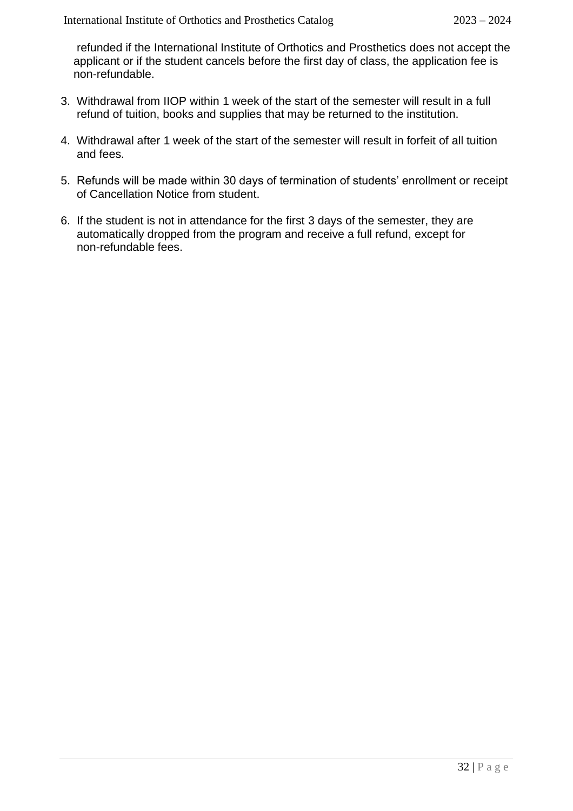refunded if the International Institute of Orthotics and Prosthetics does not accept the applicant or if the student cancels before the first day of class, the application fee is non-refundable.

- 3. Withdrawal from IIOP within 1 week of the start of the semester will result in a full refund of tuition, books and supplies that may be returned to the institution.
- 4. Withdrawal after 1 week of the start of the semester will result in forfeit of all tuition and fees.
- 5. Refunds will be made within 30 days of termination of students' enrollment or receipt of Cancellation Notice from student.
- 6. If the student is not in attendance for the first 3 days of the semester, they are automatically dropped from the program and receive a full refund, except for non-refundable fees.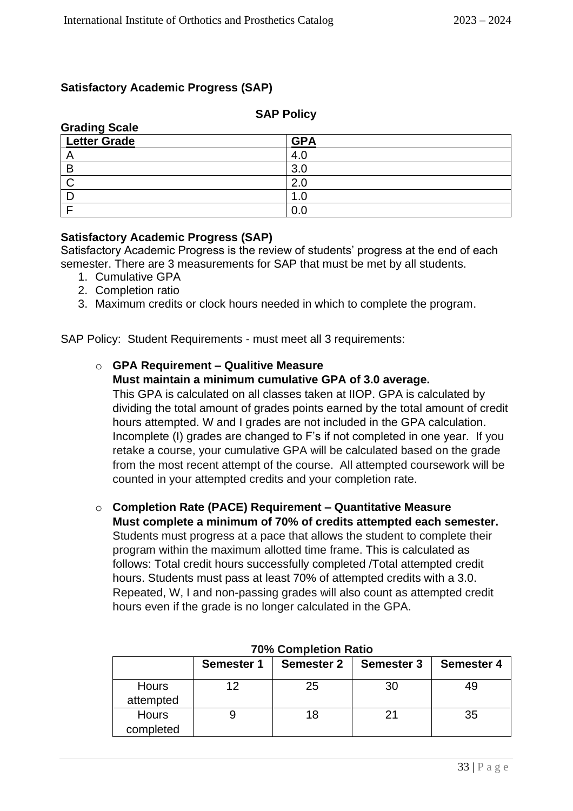#### **Satisfactory Academic Progress (SAP)**

#### **SAP Policy**

| <b>Grading Scale</b> |                 |  |  |
|----------------------|-----------------|--|--|
| <b>Letter Grade</b>  | <b>GPA</b>      |  |  |
|                      |                 |  |  |
| В                    | 30 <sup>2</sup> |  |  |
|                      | 2. <sub>C</sub> |  |  |
|                      |                 |  |  |
|                      |                 |  |  |

#### **Satisfactory Academic Progress (SAP)**

Satisfactory Academic Progress is the review of students' progress at the end of each semester. There are 3 measurements for SAP that must be met by all students.

- 1. Cumulative GPA
- 2. Completion ratio
- 3. Maximum credits or clock hours needed in which to complete the program.

SAP Policy: Student Requirements - must meet all 3 requirements:

#### o **GPA Requirement – Qualitive Measure Must maintain a minimum cumulative GPA of 3.0 average.**

This GPA is calculated on all classes taken at IIOP. GPA is calculated by dividing the total amount of grades points earned by the total amount of credit hours attempted. W and I grades are not included in the GPA calculation. Incomplete (I) grades are changed to F's if not completed in one year. If you retake a course, your cumulative GPA will be calculated based on the grade from the most recent attempt of the course. All attempted coursework will be counted in your attempted credits and your completion rate.

o **Completion Rate (PACE) Requirement – Quantitative Measure Must complete a minimum of 70% of credits attempted each semester.**  Students must progress at a pace that allows the student to complete their program within the maximum allotted time frame. This is calculated as follows: Total credit hours successfully completed /Total attempted credit hours. Students must pass at least 70% of attempted credits with a 3.0. Repeated, W, I and non-passing grades will also count as attempted credit hours even if the grade is no longer calculated in the GPA.

|                           | <b>Semester 1</b> | <b>Semester 2</b> | <b>Semester 3</b> | <b>Semester 4</b> |
|---------------------------|-------------------|-------------------|-------------------|-------------------|
| <b>Hours</b><br>attempted |                   | 25                | 30                |                   |
| <b>Hours</b><br>completed |                   | 18                | 21                | 35                |

#### **70% Completion Ratio**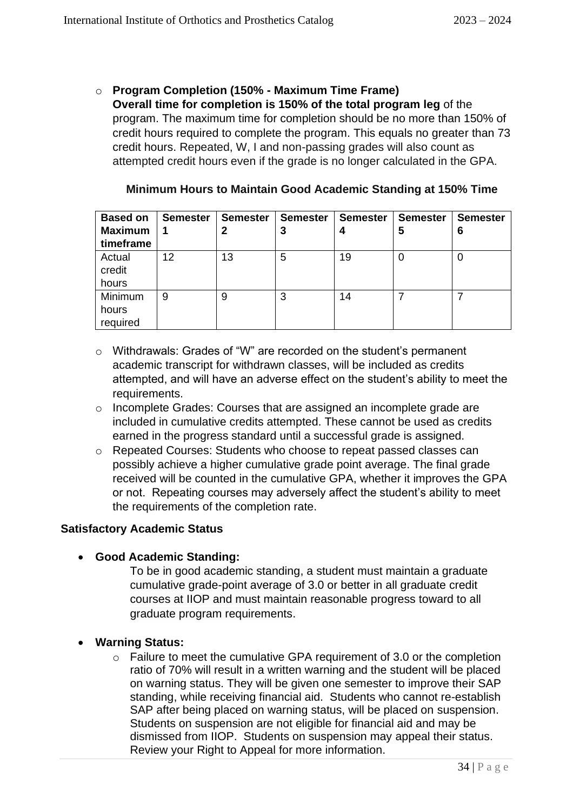o **Program Completion (150% - Maximum Time Frame) Overall time for completion is 150% of the total program leg** of the program. The maximum time for completion should be no more than 150% of credit hours required to complete the program. This equals no greater than 73 credit hours. Repeated, W, I and non-passing grades will also count as attempted credit hours even if the grade is no longer calculated in the GPA.

| <b>Based on</b><br><b>Maximum</b><br>timeframe | <b>Semester</b> | <b>Semester</b> | <b>Semester</b><br>3 | <b>Semester</b> | <b>Semester</b><br>5 | <b>Semester</b><br>6 |
|------------------------------------------------|-----------------|-----------------|----------------------|-----------------|----------------------|----------------------|
| Actual<br>credit<br>hours                      | 12              | 13              | 5                    | 19              | 0                    | 0                    |
| Minimum<br>hours<br>required                   | 9               | 9               | 3                    | 14              |                      |                      |

#### **Minimum Hours to Maintain Good Academic Standing at 150% Time**

- o Withdrawals: Grades of "W" are recorded on the student's permanent academic transcript for withdrawn classes, will be included as credits attempted, and will have an adverse effect on the student's ability to meet the requirements.
- o Incomplete Grades: Courses that are assigned an incomplete grade are included in cumulative credits attempted. These cannot be used as credits earned in the progress standard until a successful grade is assigned.
- o Repeated Courses: Students who choose to repeat passed classes can possibly achieve a higher cumulative grade point average. The final grade received will be counted in the cumulative GPA, whether it improves the GPA or not. Repeating courses may adversely affect the student's ability to meet the requirements of the completion rate.

#### **Satisfactory Academic Status**

• **Good Academic Standing:**

To be in good academic standing, a student must maintain a graduate cumulative grade-point average of 3.0 or better in all graduate credit courses at IIOP and must maintain reasonable progress toward to all graduate program requirements.

#### • **Warning Status:**

o Failure to meet the cumulative GPA requirement of 3.0 or the completion ratio of 70% will result in a written warning and the student will be placed on warning status. They will be given one semester to improve their SAP standing, while receiving financial aid. Students who cannot re-establish SAP after being placed on warning status, will be placed on suspension. Students on suspension are not eligible for financial aid and may be dismissed from IIOP. Students on suspension may appeal their status. Review your Right to Appeal for more information.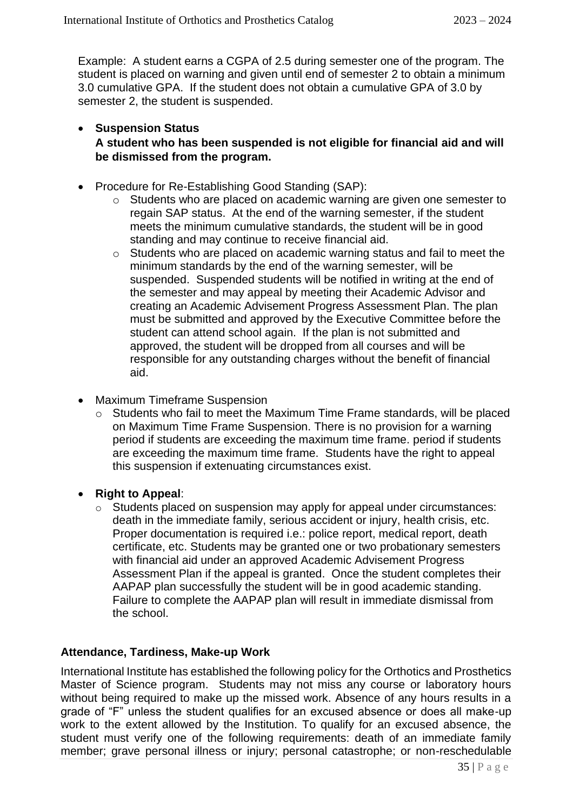Example: A student earns a CGPA of 2.5 during semester one of the program. The student is placed on warning and given until end of semester 2 to obtain a minimum 3.0 cumulative GPA. If the student does not obtain a cumulative GPA of 3.0 by semester 2, the student is suspended.

- **Suspension Status A student who has been suspended is not eligible for financial aid and will be dismissed from the program.**
- Procedure for Re-Establishing Good Standing (SAP):
	- o Students who are placed on academic warning are given one semester to regain SAP status. At the end of the warning semester, if the student meets the minimum cumulative standards, the student will be in good standing and may continue to receive financial aid.
	- o Students who are placed on academic warning status and fail to meet the minimum standards by the end of the warning semester, will be suspended. Suspended students will be notified in writing at the end of the semester and may appeal by meeting their Academic Advisor and creating an Academic Advisement Progress Assessment Plan. The plan must be submitted and approved by the Executive Committee before the student can attend school again. If the plan is not submitted and approved, the student will be dropped from all courses and will be responsible for any outstanding charges without the benefit of financial aid.
- Maximum Timeframe Suspension
	- o Students who fail to meet the Maximum Time Frame standards, will be placed on Maximum Time Frame Suspension. There is no provision for a warning period if students are exceeding the maximum time frame. period if students are exceeding the maximum time frame. Students have the right to appeal this suspension if extenuating circumstances exist.
- **Right to Appeal**:
	- o Students placed on suspension may apply for appeal under circumstances: death in the immediate family, serious accident or injury, health crisis, etc. Proper documentation is required i.e.: police report, medical report, death certificate, etc. Students may be granted one or two probationary semesters with financial aid under an approved Academic Advisement Progress Assessment Plan if the appeal is granted. Once the student completes their AAPAP plan successfully the student will be in good academic standing. Failure to complete the AAPAP plan will result in immediate dismissal from the school.

#### **Attendance, Tardiness, Make-up Work**

International Institute has established the following policy for the Orthotics and Prosthetics Master of Science program. Students may not miss any course or laboratory hours without being required to make up the missed work. Absence of any hours results in a grade of "F" unless the student qualifies for an excused absence or does all make-up work to the extent allowed by the Institution. To qualify for an excused absence, the student must verify one of the following requirements: death of an immediate family member; grave personal illness or injury; personal catastrophe; or non-reschedulable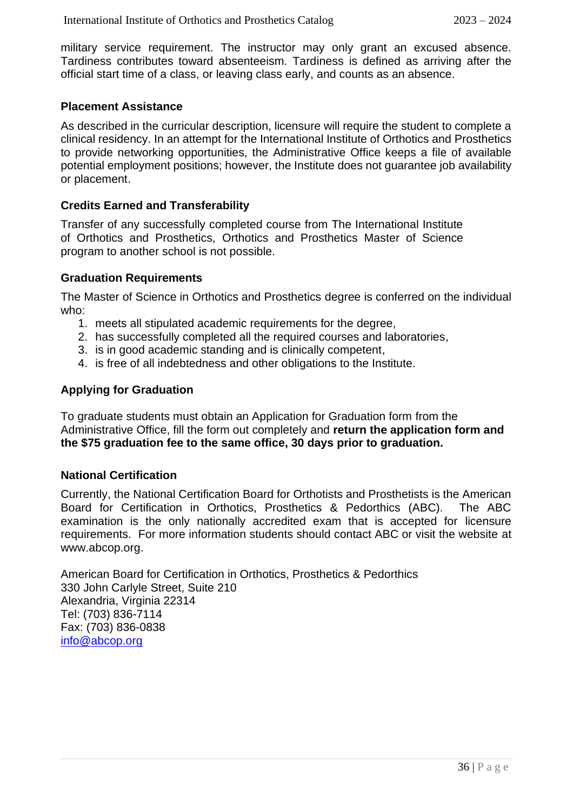military service requirement. The instructor may only grant an excused absence. Tardiness contributes toward absenteeism. Tardiness is defined as arriving after the official start time of a class, or leaving class early, and counts as an absence.

#### **Placement Assistance**

As described in the curricular description, licensure will require the student to complete a clinical residency. In an attempt for the International Institute of Orthotics and Prosthetics to provide networking opportunities, the Administrative Office keeps a file of available potential employment positions; however, the Institute does not guarantee job availability or placement.

#### **Credits Earned and Transferability**

Transfer of any successfully completed course from The International Institute of Orthotics and Prosthetics, Orthotics and Prosthetics Master of Science program to another school is not possible.

#### **Graduation Requirements**

The Master of Science in Orthotics and Prosthetics degree is conferred on the individual who:

- 1. meets all stipulated academic requirements for the degree,
- 2. has successfully completed all the required courses and laboratories,
- 3. is in good academic standing and is clinically competent,
- 4. is free of all indebtedness and other obligations to the Institute.

#### **Applying for Graduation**

To graduate students must obtain an Application for Graduation form from the Administrative Office, fill the form out completely and **return the application form and the \$75 graduation fee to the same office, 30 days prior to graduation.**

#### **National Certification**

Currently, the National Certification Board for Orthotists and Prosthetists is the American Board for Certification in Orthotics, Prosthetics & Pedorthics (ABC). The ABC examination is the only nationally accredited exam that is accepted for licensure requirements. For more information students should contact ABC or visit the website at www.abcop.org.

American Board for Certification in Orthotics, Prosthetics & Pedorthics 330 John Carlyle Street, Suite 210 Alexandria, Virginia 22314 Tel: (703) 836-7114 Fax: (703) 836-0838 [info@abcop.org](mailto:info@abcop.org)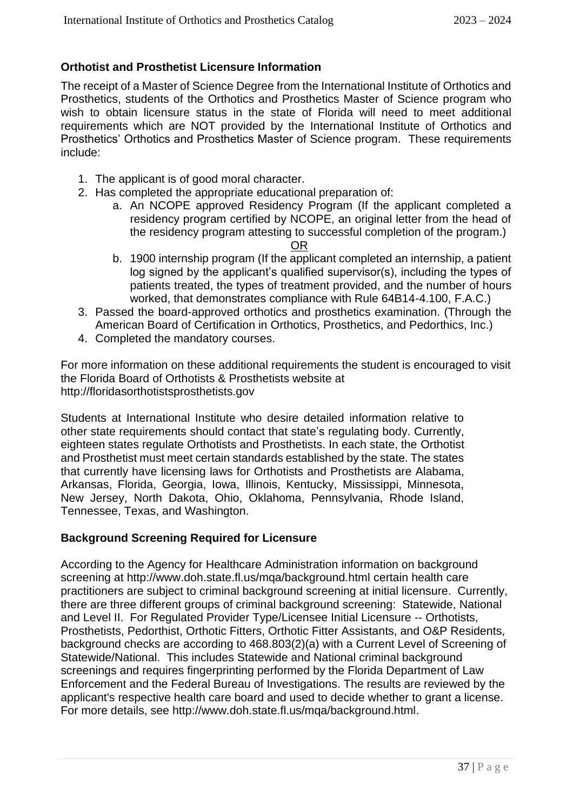#### **Orthotist and Prosthetist Licensure Information**

The receipt of a Master of Science Degree from the International Institute of Orthotics and Prosthetics, students of the Orthotics and Prosthetics Master of Science program who wish to obtain licensure status in the state of Florida will need to meet additional requirements which are NOT provided by the International Institute of Orthotics and Prosthetics' Orthotics and Prosthetics Master of Science program. These requirements include:

- 1. The applicant is of good moral character.
- 2. Has completed the appropriate educational preparation of:
	- a. An NCOPE approved Residency Program (If the applicant completed a residency program certified by NCOPE, an original letter from the head of the residency program attesting to successful completion of the program.) <u>OR Starting and the Construction of the Construction of the Construction of the Construction of the Const</u>
		-
	- b. 1900 internship program (If the applicant completed an internship, a patient log signed by the applicant's qualified supervisor(s), including the types of patients treated, the types of treatment provided, and the number of hours worked, that demonstrates compliance with Rule 64B14-4.100, F.A.C.)
- 3. Passed the board-approved orthotics and prosthetics examination. (Through the American Board of Certification in Orthotics, Prosthetics, and Pedorthics, Inc.)
- 4. Completed the mandatory courses.

For more information on these additional requirements the student is encouraged to visit the Florida Board of Orthotists & Prosthetists website at http://floridasorthotistsprosthetists.gov

Students at International Institute who desire detailed information relative to other state requirements should contact that state's regulating body. Currently, eighteen states regulate Orthotists and Prosthetists. In each state, the Orthotist and Prosthetist must meet certain standards established by the state. The states that currently have licensing laws for Orthotists and Prosthetists are Alabama, Arkansas, Florida, Georgia, Iowa, Illinois, Kentucky, Mississippi, Minnesota, New Jersey, North Dakota, Ohio, Oklahoma, Pennsylvania, Rhode Island, Tennessee, Texas, and Washington.

#### **Background Screening Required for Licensure**

According to the Agency for Healthcare Administration information on background screening at<http://www.doh.state.fl.us/mqa/background.html> certain health care practitioners are subject to criminal background screening at initial licensure. Currently, there are three different groups of criminal background screening: Statewide, National and Level II. For Regulated Provider Type/Licensee Initial Licensure -- Orthotists, Prosthetists, Pedorthist, Orthotic Fitters, Orthotic Fitter Assistants, and O&P Residents, background checks are according to 468.803(2)(a) with a Current Level of Screening of Statewide/National. This includes Statewide and National criminal background screenings and requires fingerprinting performed by the Florida Department of Law Enforcement and the Federal Bureau of Investigations. The results are reviewed by the applicant's respective health care board and used to decide whether to grant a license. For more details, see [http://www.doh.state.fl.us/mqa/background.html.](http://www.doh.state.fl.us/mqa/background.html)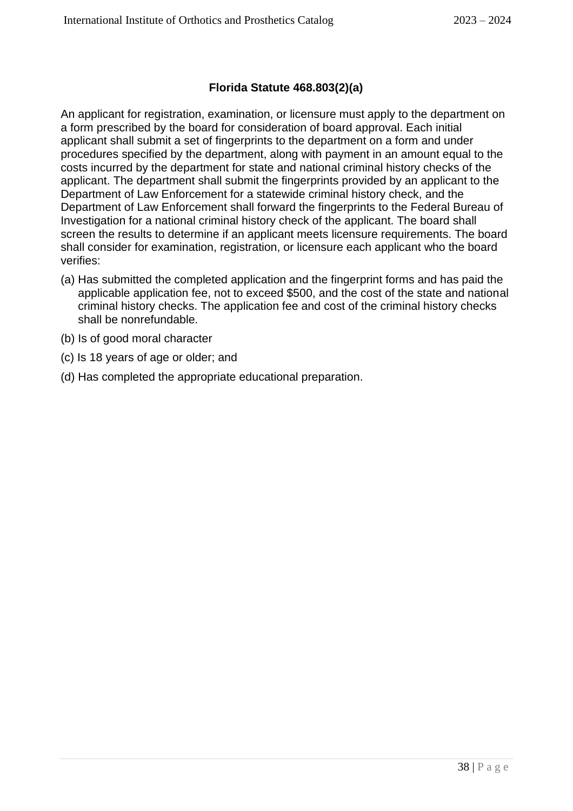#### **Florida Statute 468.803(2)(a)**

An applicant for registration, examination, or licensure must apply to the department on a form prescribed by the board for consideration of board approval. Each initial applicant shall submit a set of fingerprints to the department on a form and under procedures specified by the department, along with payment in an amount equal to the costs incurred by the department for state and national criminal history checks of the applicant. The department shall submit the fingerprints provided by an applicant to the Department of Law Enforcement for a statewide criminal history check, and the Department of Law Enforcement shall forward the fingerprints to the Federal Bureau of Investigation for a national criminal history check of the applicant. The board shall screen the results to determine if an applicant meets licensure requirements. The board shall consider for examination, registration, or licensure each applicant who the board verifies:

- (a) Has submitted the completed application and the fingerprint forms and has paid the applicable application fee, not to exceed \$500, and the cost of the state and national criminal history checks. The application fee and cost of the criminal history checks shall be nonrefundable.
- (b) Is of good moral character
- (c) Is 18 years of age or older; and
- (d) Has completed the appropriate educational preparation.